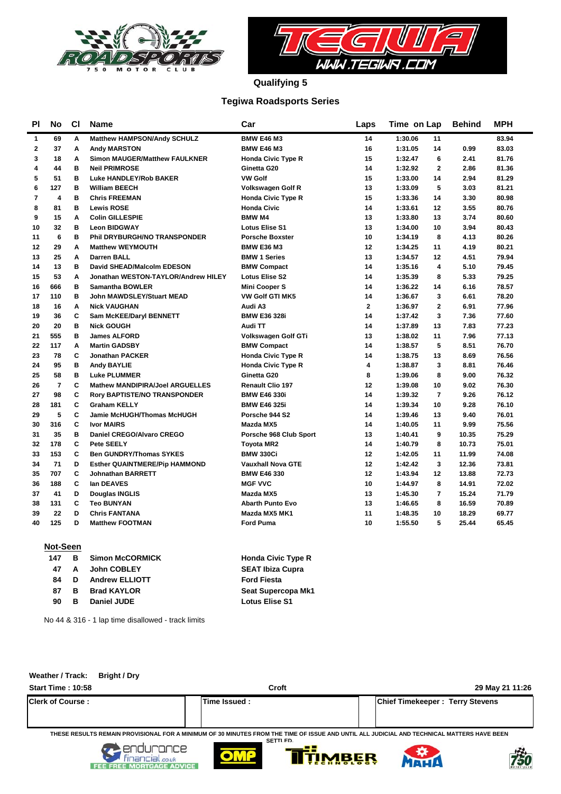



**Qualifying 5**

### **Tegiwa Roadsports Series**

| PI             | No             | C1 | <b>Name</b>                            | Car                       | Laps         | Time on Lap                | <b>Behind</b> | <b>MPH</b> |
|----------------|----------------|----|----------------------------------------|---------------------------|--------------|----------------------------|---------------|------------|
| 1              | 69             | A  | Matthew HAMPSON/Andy SCHULZ            | <b>BMW E46 M3</b>         | 14           | 1:30.06<br>11              |               | 83.94      |
| $\mathbf{2}$   | 37             | A  | <b>Andy MARSTON</b>                    | <b>BMW E46 M3</b>         | 16           | 1:31.05<br>14              | 0.99          | 83.03      |
| 3              | 18             | A  | Simon MAUGER/Matthew FAULKNER          | <b>Honda Civic Type R</b> | 15           | 1:32.47<br>6               | 2.41          | 81.76      |
| 4              | 44             | B  | <b>Neil PRIMROSE</b>                   | Ginetta G20               | 14           | $\overline{2}$<br>1:32.92  | 2.86          | 81.36      |
| 5              | 51             | B  | Luke HANDLEY/Rob BAKER                 | <b>VW Golf</b>            | 15           | 1:33.00<br>14              | 2.94          | 81.29      |
| 6              | 127            | B  | <b>William BEECH</b>                   | Volkswagen Golf R         | 13           | 5<br>1:33.09               | 3.03          | 81.21      |
| $\overline{7}$ | 4              | B  | <b>Chris FREEMAN</b>                   | <b>Honda Civic Type R</b> | 15           | 1:33.36<br>14              | 3.30          | 80.98      |
| 8              | 81             | в  | <b>Lewis ROSE</b>                      | <b>Honda Civic</b>        | 14           | 1:33.61<br>12              | 3.55          | 80.76      |
| 9              | 15             | A  | <b>Colin GILLESPIE</b>                 | <b>BMW M4</b>             | 13           | 1:33.80<br>13              | 3.74          | 80.60      |
| 10             | 32             | B  | <b>Leon BIDGWAY</b>                    | <b>Lotus Elise S1</b>     | 13           | 1:34.00<br>10              | 3.94          | 80.43      |
| 11             | 6              | B  | <b>Phil DRYBURGH/NO TRANSPONDER</b>    | <b>Porsche Boxster</b>    | 10           | 1:34.19<br>8               | 4.13          | 80.26      |
| 12             | 29             | A  | <b>Matthew WEYMOUTH</b>                | <b>BMW E36 M3</b>         | 12           | 1:34.25<br>11              | 4.19          | 80.21      |
| 13             | 25             | A  | <b>Darren BALL</b>                     | <b>BMW 1 Series</b>       | 13           | 1:34.57<br>$12 \,$         | 4.51          | 79.94      |
| 14             | 13             | в  | David SHEAD/Malcolm EDESON             | <b>BMW Compact</b>        | 14           | 4<br>1:35.16               | 5.10          | 79.45      |
| 15             | 53             | A  | Jonathan WESTON-TAYLOR/Andrew HILEY    | <b>Lotus Elise S2</b>     | 14           | 1:35.39<br>8               | 5.33          | 79.25      |
| 16             | 666            | в  | <b>Samantha BOWLER</b>                 | <b>Mini Cooper S</b>      | 14           | 1:36.22<br>14              | 6.16          | 78.57      |
| 17             | 110            | B  | <b>John MAWDSLEY/Stuart MEAD</b>       | <b>VW Golf GTI MK5</b>    | 14           | 1:36.67<br>3               | 6.61          | 78.20      |
| 18             | 16             | A  | <b>Nick VAUGHAN</b>                    | Audi A3                   | $\mathbf{2}$ | 1:36.97<br>$\overline{2}$  | 6.91          | 77.96      |
| 19             | 36             | C  | Sam McKEE/Daryl BENNETT                | <b>BMW E36 328i</b>       | 14           | 3<br>1:37.42               | 7.36          | 77.60      |
| 20             | 20             | в  | <b>Nick GOUGH</b>                      | Audi TT                   | 14           | 1:37.89<br>13              | 7.83          | 77.23      |
| 21             | 555            | в  | <b>James ALFORD</b>                    | Volkswagen Golf GTi       | 13           | 1:38.02<br>11              | 7.96          | 77.13      |
| 22             | 117            | A  | <b>Martin GADSBY</b>                   | <b>BMW Compact</b>        | 14           | 5<br>1:38.57               | 8.51          | 76.70      |
| 23             | 78             | C  | <b>Jonathan PACKER</b>                 | <b>Honda Civic Type R</b> | 14           | 1:38.75<br>13              | 8.69          | 76.56      |
| 24             | 95             | B  | <b>Andy BAYLIE</b>                     | <b>Honda Civic Type R</b> | 4            | 3<br>1:38.87               | 8.81          | 76.46      |
| 25             | 58             | B  | <b>Luke PLUMMER</b>                    | Ginetta G20               | 8            | 1:39.06<br>8               | 9.00          | 76.32      |
| 26             | $\overline{7}$ | C  | <b>Mathew MANDIPIRA/Joel ARGUELLES</b> | <b>Renault Clio 197</b>   | 12           | 1:39.08<br>10              | 9.02          | 76.30      |
| 27             | 98             | C  | <b>Rory BAPTISTE/NO TRANSPONDER</b>    | <b>BMW E46 330i</b>       | 14           | 1:39.32<br>$\overline{7}$  | 9.26          | 76.12      |
| 28             | 181            | C  | <b>Graham KELLY</b>                    | <b>BMW E46 325i</b>       | 14           | 10<br>1:39.34              | 9.28          | 76.10      |
| 29             | 5              | C  | Jamie McHUGH/Thomas McHUGH             | Porsche 944 S2            | 14           | 1:39.46<br>13              | 9.40          | 76.01      |
| 30             | 316            | C  | <b>Ivor MAIRS</b>                      | Mazda MX5                 | 14           | 1:40.05<br>11              | 9.99          | 75.56      |
| 31             | 35             | B  | Daniel CREGO/Alvaro CREGO              | Porsche 968 Club Sport    | 13           | 1:40.41<br>9               | 10.35         | 75.29      |
| 32             | 178            | C  | Pete SEELY                             | <b>Toyota MR2</b>         | 14           | 1:40.79<br>8               | 10.73         | 75.01      |
| 33             | 153            | C  | <b>Ben GUNDRY/Thomas SYKES</b>         | <b>BMW 330Ci</b>          | 12           | 1:42.05<br>11              | 11.99         | 74.08      |
| 34             | 71             | D  | <b>Esther QUAINTMERE/Pip HAMMOND</b>   | <b>Vauxhall Nova GTE</b>  | 12           | 1:42.42<br>3               | 12.36         | 73.81      |
| 35             | 707            | C  | <b>Johnathan BARRETT</b>               | <b>BMW E46 330</b>        | 12           | 1:43.94<br>12 <sup>2</sup> | 13.88         | 72.73      |
| 36             | 188            | C  | lan DEAVES                             | <b>MGF VVC</b>            | 10           | 1:44.97<br>8               | 14.91         | 72.02      |
| 37             | 41             | D  | Douglas INGLIS                         | Mazda MX5                 | 13           | $\overline{7}$<br>1:45.30  | 15.24         | 71.79      |
| 38             | 131            | C  | <b>Teo BUNYAN</b>                      | <b>Abarth Punto Evo</b>   | 13           | 8<br>1:46.65               | 16.59         | 70.89      |
| 39             | 22             | D  | <b>Chris FANTANA</b>                   | Mazda MX5 MK1             | 11           | 1:48.35<br>10              | 18.29         | 69.77      |
| 40             | 125            | D  | <b>Matthew FOOTMAN</b>                 | <b>Ford Puma</b>          | 10           | 5<br>1:55.50               | 25.44         | 65.45      |
|                |                |    |                                        |                           |              |                            |               |            |

#### **Not-Seen**

| 147 | <b>B</b> | <b>Simon McCORMICK</b> | <b>Honda Civic Type R</b> |
|-----|----------|------------------------|---------------------------|
| 47  | A        | <b>John COBLEY</b>     | <b>SEAT Ibiza Cupra</b>   |
| 84  | D        | <b>Andrew ELLIOTT</b>  | <b>Ford Fiesta</b>        |
| 87  | в        | <b>Brad KAYLOR</b>     | Seat Supercopa Mk1        |
| 90  | в        | Daniel JUDE            | <b>Lotus Elise S1</b>     |
|     |          |                        |                           |

No 44 & 316 - 1 lap time disallowed - track limits

## **Start Time : 10:58 Croft 29 May 21 11:26 Weather / Track: Bright / Dry Clerk of Course : Time Issued : Chief Timekeeper : Terry Stevens THESE RESULTS REMAIN PROVISIONAL FOR A MINIMUM OF 30 MINUTES FROM THE TIME OF ISSUE AND UNTIL ALL JUDICIAL AND TECHNICAL MATTERS HAVE BEEN SETTLED.**









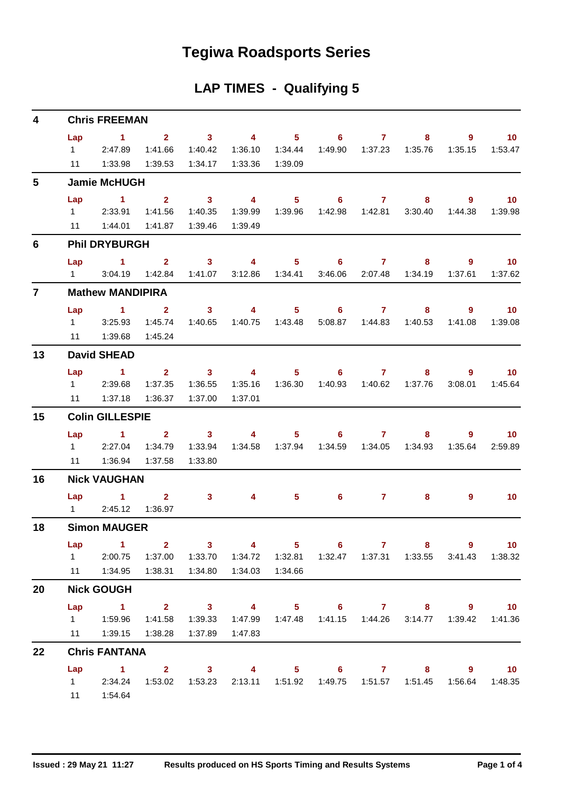## **Tegiwa Roadsports Series**

|  | <b>LAP TIMES - Qualifying 5</b> |  |
|--|---------------------------------|--|
|--|---------------------------------|--|

| 4              |     | <b>Chris FREEMAN</b>                                                                                      |              |                         |                         |                  |                            |                             |                                                                                     |             |                          |
|----------------|-----|-----------------------------------------------------------------------------------------------------------|--------------|-------------------------|-------------------------|------------------|----------------------------|-----------------------------|-------------------------------------------------------------------------------------|-------------|--------------------------|
|                | Lap | $\sim$ 1                                                                                                  | $\mathbf{2}$ | $\sim$ 3                | $\sim$ 4                |                  | 5 6 7                      |                             | 8                                                                                   | 9           | 10                       |
|                |     | $1 \t2:47.89$                                                                                             | 1:41.66      | 1:40.42                 | 1:36.10                 | 1:34.44          | 1:49.90                    | 1:37.23                     | 1:35.76                                                                             | 1:35.15     | 1:53.47                  |
|                | 11  | 1:33.98                                                                                                   | 1:39.53      | 1:34.17                 | 1:33.36                 | 1:39.09          |                            |                             |                                                                                     |             |                          |
| 5              |     | <b>Jamie McHUGH</b>                                                                                       |              |                         |                         |                  |                            |                             |                                                                                     |             |                          |
|                | Lap | $\sim$ 1                                                                                                  | $2^{\circ}$  | $\sim$ 3                | $\overline{\mathbf{4}}$ | $5 -$            | $\overline{\phantom{a}}$ 6 | $\sim$ $\sim$ $\sim$ $\sim$ | $\overline{\phantom{a}}$ 8                                                          | $9^{\circ}$ | $\overline{\mathbf{10}}$ |
|                |     | 1 2:33.91                                                                                                 | 1:41.56      | 1:40.35                 | 1:39.99                 | 1:39.96          |                            |                             | 3:30.40                                                                             | 1:44.38     | 1:39.98                  |
|                |     | 11  1:44.01                                                                                               | 1:41.87      | 1:39.46                 | 1:39.49                 |                  |                            |                             |                                                                                     |             |                          |
| 6              |     | <b>Phil DRYBURGH</b>                                                                                      |              |                         |                         |                  |                            |                             |                                                                                     |             |                          |
|                |     | Lap $1$ 2                                                                                                 |              | $\sim$ 3                | $\sim$ 4                |                  | 5 6 7                      |                             | $\sim$ 8                                                                            | 9           | $\blacksquare$ 10        |
|                |     | 1 3:04.19                                                                                                 | 1:42.84      | 1:41.07                 |                         | 3:12.86  1:34.41 | 3:46.06                    | 2:07.48                     | 1:34.19                                                                             | 1:37.61     | 1:37.62                  |
| $\overline{7}$ |     | <b>Mathew MANDIPIRA</b>                                                                                   |              |                         |                         |                  |                            |                             |                                                                                     |             |                          |
|                |     | Lap $1$ 2                                                                                                 |              | 3 <sup>7</sup>          | $\overline{4}$          | $5 -$            |                            | $6 \overline{7}$            | 8                                                                                   | 9           | $\overline{\mathbf{10}}$ |
|                |     | $1 \t3:25.93$                                                                                             | 1:45.74      | 1:40.65                 |                         |                  |                            |                             | 5:08.87  1:44.83  1:40.53                                                           | 1:41.08     | 1:39.08                  |
|                |     | 11  1:39.68  1:45.24                                                                                      |              |                         |                         |                  |                            |                             |                                                                                     |             |                          |
| 13             |     | <b>David SHEAD</b>                                                                                        |              |                         |                         |                  |                            |                             |                                                                                     |             |                          |
|                | Lap | $\sim$ $-1$                                                                                               |              |                         | $2 \t 3 \t 4$           | $5 -$            |                            | $6 \qquad \qquad 7$         | 8 <sup>°</sup>                                                                      | $9^{\circ}$ | $\blacksquare$ 10        |
|                |     | 1 2:39.68                                                                                                 | 1:37.35      | 1:36.55                 | 1:35.16                 |                  |                            |                             |                                                                                     | 3:08.01     | 1:45.64                  |
|                | 11  | 1:37.18                                                                                                   | 1:36.37      | 1:37.00                 | 1:37.01                 |                  |                            |                             |                                                                                     |             |                          |
| 15             |     | <b>Colin GILLESPIE</b>                                                                                    |              |                         |                         |                  |                            |                             |                                                                                     |             |                          |
|                | Lap | $\overline{1}$ $\overline{2}$                                                                             |              | $\overline{\mathbf{3}}$ | $\overline{4}$          | $5 -$            |                            | $6\qquad 7$                 | 8                                                                                   | $9^{\circ}$ | $\overline{10}$          |
|                |     | 12:27.04                                                                                                  | 1:34.79      | 1:33.94                 |                         | 1:34.58  1:37.94 |                            |                             |                                                                                     | 1:35.64     | 2:59.89                  |
|                |     | 11  1:36.94  1:37.58                                                                                      |              | 1:33.80                 |                         |                  |                            |                             |                                                                                     |             |                          |
| 16             |     | <b>Nick VAUGHAN</b>                                                                                       |              |                         |                         |                  |                            |                             |                                                                                     |             |                          |
|                |     | $Lap$ 1 2                                                                                                 |              | 3 <sup>1</sup>          | 4                       | $5 -$            | $6^{\circ}$                | $\mathbf{7}$                | 8                                                                                   | 9           | 10 <sup>°</sup>          |
|                |     | 1 2:45.12 1:36.97                                                                                         |              |                         |                         |                  |                            |                             |                                                                                     |             |                          |
| 18             |     | <b>Simon MAUGER</b>                                                                                       |              |                         |                         |                  |                            |                             |                                                                                     |             |                          |
|                | Lap | $\sim$ $\sim$ 1<br>1 2:00.75 1:37.00 1:33.70 1:34.72 1:32.81 1:32.47 1:37.31 1:33.55 3:41.43 1:38.32      | $2 \t 3$     |                         | $\overline{4}$          |                  | $5 \t\t 6 \t\t 7$          |                             | 8 9 10                                                                              |             |                          |
|                |     | 11  1:34.95  1:38.31  1:34.80                                                                             |              |                         | 1:34.03  1:34.66        |                  |                            |                             |                                                                                     |             |                          |
|                |     |                                                                                                           |              |                         |                         |                  |                            |                             |                                                                                     |             |                          |
| 20             |     | <b>Nick GOUGH</b>                                                                                         |              |                         |                         |                  |                            |                             |                                                                                     |             |                          |
|                | Lap | $\sim$ $-1$                                                                                               | 1:41.58      | 1:39.33                 |                         |                  |                            |                             | 2 3 4 5 6 7 8 9 10<br>1:47.99  1:47.48  1:41.15  1:44.26  3:14.77  1:39.42  1:41.36 |             |                          |
|                |     | 11   1:39.15   1:38.28   1:37.89                                                                          |              |                         | 1:47.83                 |                  |                            |                             |                                                                                     |             |                          |
| 22             |     | <b>Chris FANTANA</b>                                                                                      |              |                         |                         |                  |                            |                             |                                                                                     |             |                          |
|                |     |                                                                                                           |              |                         |                         |                  |                            |                             |                                                                                     |             |                          |
|                |     |                                                                                                           |              |                         |                         |                  |                            |                             |                                                                                     |             |                          |
|                | Lap | 1 2 3 4 5 6 7 8 9 10<br>1 2:34.24 1:53.02 1:53.23 2:13.11 1:51.92 1:49.75 1:51.57 1:51.45 1:56.64 1:48.35 |              |                         |                         |                  |                            |                             |                                                                                     |             |                          |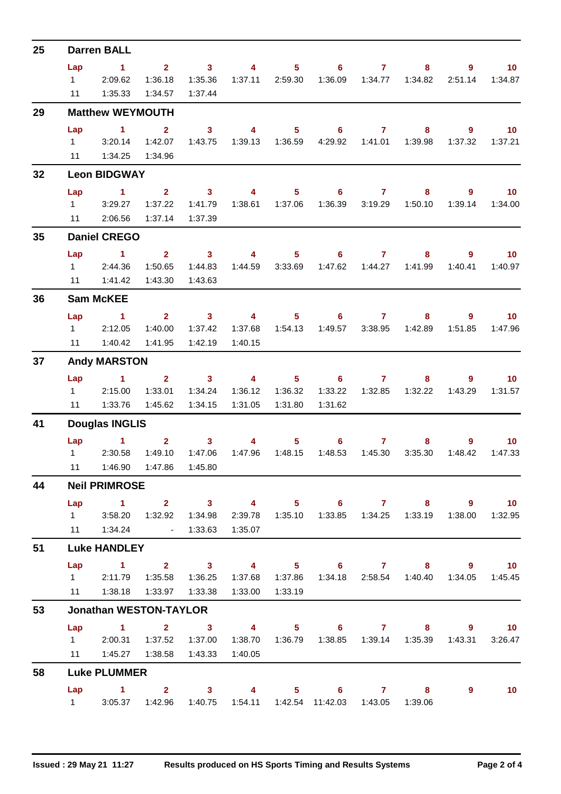| 25                                                       |                       | <b>Darren BALL</b>                                                        |                               |                     |                  |                  |                                                               |                 |                             |                                    |                   |  |  |  |
|----------------------------------------------------------|-----------------------|---------------------------------------------------------------------------|-------------------------------|---------------------|------------------|------------------|---------------------------------------------------------------|-----------------|-----------------------------|------------------------------------|-------------------|--|--|--|
|                                                          | Lap                   | $\sim$ 1                                                                  |                               |                     |                  |                  | 2 3 4 5 6 7                                                   |                 |                             | $8^{\circ}$                        | $9 \t 10$         |  |  |  |
|                                                          | $1 \quad \Box$        | 2:09.62                                                                   | 1:36.18                       | 1:35.36             |                  | 1:37.11 2:59.30  |                                                               |                 |                             |                                    | 2:51.14  1:34.87  |  |  |  |
|                                                          | 11                    | 1:35.33                                                                   | 1:34.57                       | 1:37.44             |                  |                  |                                                               |                 |                             |                                    |                   |  |  |  |
| 29<br>32<br>35<br>36<br>37<br>41<br>44<br>51<br>53<br>58 |                       | <b>Matthew WEYMOUTH</b>                                                   |                               |                     |                  |                  |                                                               |                 |                             |                                    |                   |  |  |  |
|                                                          | Lap                   | $\sim$ 1                                                                  | $\mathbf{2}$                  | 3 <sup>7</sup>      |                  |                  | 4 5 6 7                                                       |                 | $8 -$                       | $9 \t 10$                          |                   |  |  |  |
|                                                          |                       | $1 \quad 3:20.14$                                                         | 1:42.07                       |                     |                  |                  | 1:43.75  1:39.13  1:36.59  4:29.92  1:41.01  1:39.98          |                 |                             |                                    |                   |  |  |  |
|                                                          |                       | 11  1:34.25  1:34.96                                                      |                               |                     |                  |                  |                                                               |                 |                             |                                    |                   |  |  |  |
|                                                          |                       | <b>Leon BIDGWAY</b>                                                       |                               |                     |                  |                  |                                                               |                 |                             |                                    |                   |  |  |  |
|                                                          | Lap                   | $\sim$ 1                                                                  |                               |                     |                  |                  | 2 3 4 5 6 7                                                   |                 |                             | 8 9 10                             |                   |  |  |  |
|                                                          | $1 \quad \Box$        | 3:29.27                                                                   | 1:37.22                       | 1:41.79             |                  |                  |                                                               | 1:36.39 3:19.29 | 1:50.10                     |                                    | 1:39.14  1:34.00  |  |  |  |
|                                                          |                       | 11 2:06.56                                                                | 1:37.14                       | 1:37.39             |                  |                  |                                                               |                 |                             |                                    |                   |  |  |  |
|                                                          |                       | <b>Daniel CREGO</b>                                                       |                               |                     |                  |                  |                                                               |                 |                             |                                    |                   |  |  |  |
|                                                          | Lap                   | $\sim$ 1                                                                  | $\overline{2}$ $\overline{3}$ |                     | $\sim$ 4 $\sim$  |                  | $5 \t\t 6 \t\t 7$                                             |                 | $8 -$                       | $\overline{9}$ and $\overline{10}$ |                   |  |  |  |
|                                                          |                       | 1 2:44.36                                                                 | 1:50.65                       | 1:44.83             |                  |                  | 1:44.59  3:33.69  1:47.62  1:44.27  1:41.99                   |                 |                             |                                    | 1:40.41  1:40.97  |  |  |  |
|                                                          |                       | 11   1:41.42                                                              | 1:43.30                       | 1:43.63             |                  |                  |                                                               |                 |                             |                                    |                   |  |  |  |
|                                                          | <b>Sam McKEE</b>      |                                                                           |                               |                     |                  |                  |                                                               |                 |                             |                                    |                   |  |  |  |
|                                                          | Lap                   | $\sim$ $\sim$ 1.                                                          |                               |                     |                  |                  | 2 3 4 5 6 7                                                   |                 |                             | 8 9 10                             |                   |  |  |  |
|                                                          |                       | 1 2:12.05                                                                 | 1:40.00                       | 1:37.42             | 1:37.68          | 1:54.13          |                                                               |                 | 1:49.57   3:38.95   1:42.89 | 1:51.85                            | 1:47.96           |  |  |  |
|                                                          | 11                    | 1:40.42                                                                   | 1:41.95                       | 1:42.19             | 1:40.15          |                  |                                                               |                 |                             |                                    |                   |  |  |  |
|                                                          |                       | <b>Andy MARSTON</b>                                                       |                               |                     |                  |                  |                                                               |                 |                             |                                    |                   |  |  |  |
|                                                          | Lap                   | $\sim$ $\sim$ 1                                                           |                               | $2 \qquad \qquad 3$ |                  |                  | 4 5 6 7                                                       |                 |                             | $8 - 1$                            | $9 \t 10$         |  |  |  |
|                                                          |                       | 12:15.00                                                                  | 1:33.01                       | 1:34.24             |                  |                  |                                                               |                 |                             | 1:43.29                            | 1:31.57           |  |  |  |
|                                                          |                       | 11  1:33.76                                                               | 1:45.62                       | 1:34.15             | 1:31.05          | 1:31.80          | 1:31.62                                                       |                 |                             |                                    |                   |  |  |  |
|                                                          | <b>Douglas INGLIS</b> |                                                                           |                               |                     |                  |                  |                                                               |                 |                             |                                    |                   |  |  |  |
|                                                          |                       | Lap 1                                                                     |                               |                     | $2 \t 3 \t 4$    |                  | $5 \t\t 6 \t\t 7$                                             |                 | $8 -$                       |                                    | $9$ 10            |  |  |  |
|                                                          |                       | 1 2:30.58                                                                 | 1:49.10                       | 1:47.06             |                  | 1:47.96  1:48.15 |                                                               |                 | 3:35.30                     | 1:48.42                            | 1:47.33           |  |  |  |
|                                                          |                       | 11  1:46.90  1:47.86  1:45.80                                             |                               |                     |                  |                  |                                                               |                 |                             |                                    |                   |  |  |  |
|                                                          |                       | <b>Neil PRIMROSE</b>                                                      |                               |                     |                  |                  |                                                               |                 |                             |                                    |                   |  |  |  |
|                                                          |                       | Lap 1 2 3 4 5 6 7 8 9 10                                                  |                               |                     |                  |                  |                                                               |                 |                             |                                    |                   |  |  |  |
|                                                          |                       | 1 3:58.20                                                                 |                               |                     |                  |                  | 2:39.78  1:35.10  1:33.85  1:34.25  1:33.19                   |                 |                             |                                    | 1:38.00  1:32.95  |  |  |  |
|                                                          |                       | 11  1:34.24  - 1:33.63                                                    |                               |                     | 1:35.07          |                  |                                                               |                 |                             |                                    |                   |  |  |  |
|                                                          |                       | <b>Luke HANDLEY</b>                                                       |                               |                     |                  |                  |                                                               |                 |                             |                                    |                   |  |  |  |
|                                                          | Lap                   | 1 2 3 4 5 6 7 8 9 10                                                      |                               |                     |                  |                  |                                                               |                 |                             |                                    |                   |  |  |  |
|                                                          |                       | 1 2:11.79 1:35.58 1:36.25                                                 |                               |                     |                  |                  | 1:37.68  1:37.86  1:34.18  2:58.54  1:40.40  1:34.05  1:45.45 |                 |                             |                                    |                   |  |  |  |
|                                                          |                       | 11  1:38.18  1:33.97  1:33.38                                             |                               |                     | 1:33.00  1:33.19 |                  |                                                               |                 |                             |                                    |                   |  |  |  |
|                                                          |                       | <b>Jonathan WESTON-TAYLOR</b>                                             |                               |                     |                  |                  |                                                               |                 |                             |                                    |                   |  |  |  |
|                                                          |                       | Lap 1 2 3 4 5 6 7 8 9 10                                                  |                               |                     |                  |                  |                                                               |                 |                             |                                    |                   |  |  |  |
|                                                          |                       | 1 2:00.31                                                                 | 1:37.52                       | 1:37.00             | 1:38.70          |                  |                                                               |                 |                             |                                    | 1:43.31 3:26.47   |  |  |  |
|                                                          |                       | 11   1:45.27   1:38.58   1:43.33                                          |                               |                     | 1:40.05          |                  |                                                               |                 |                             |                                    |                   |  |  |  |
|                                                          |                       | <b>Luke PLUMMER</b>                                                       |                               |                     |                  |                  |                                                               |                 |                             |                                    |                   |  |  |  |
|                                                          |                       | Lap 1 2 3 4 5 6 7 8                                                       |                               |                     |                  |                  |                                                               |                 |                             | 9                                  | $\blacksquare$ 10 |  |  |  |
|                                                          |                       | 1 3:05.37  1:42.96  1:40.75  1:54.11  1:42.54  11:42.03  1:43.05  1:39.06 |                               |                     |                  |                  |                                                               |                 |                             |                                    |                   |  |  |  |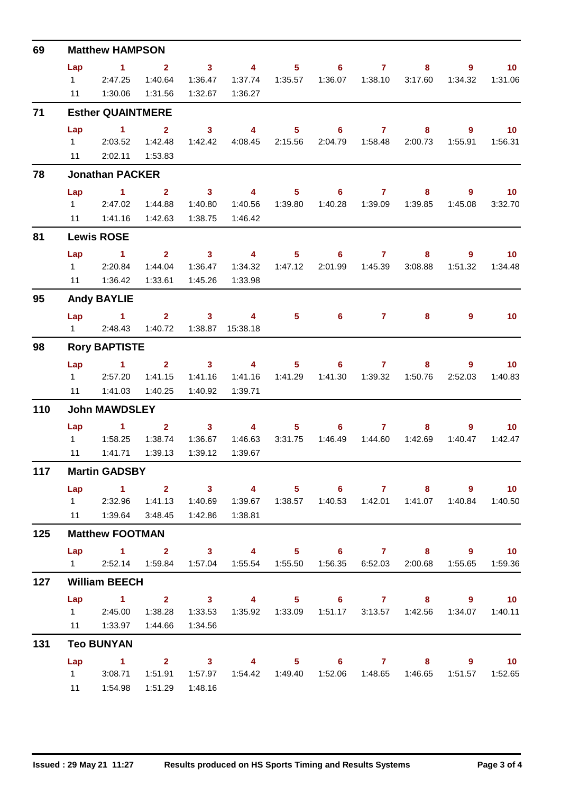| 69  |                    | <b>Matthew HAMPSON</b>                                                                                                |                         |                         |                                                               |         |                                    |             |                                             |                                                                                                                                                                                                                                                                                                                                                                                                                                                                         |                             |  |  |  |
|-----|--------------------|-----------------------------------------------------------------------------------------------------------------------|-------------------------|-------------------------|---------------------------------------------------------------|---------|------------------------------------|-------------|---------------------------------------------|-------------------------------------------------------------------------------------------------------------------------------------------------------------------------------------------------------------------------------------------------------------------------------------------------------------------------------------------------------------------------------------------------------------------------------------------------------------------------|-----------------------------|--|--|--|
|     | Lap                | $\sim$ $\sim$ 1                                                                                                       | $\overline{\mathbf{2}}$ | $\overline{\mathbf{3}}$ | $\overline{4}$                                                |         | $5 \t\t 6 \t\t 7$                  |             | 8                                           | $9^{\circ}$                                                                                                                                                                                                                                                                                                                                                                                                                                                             | $\blacksquare$ 10           |  |  |  |
|     | $1 \quad \Box$     | 2:47.25                                                                                                               | 1:40.64                 | 1:36.47                 | 1:37.74                                                       | 1:35.57 |                                    |             | 3:17.60                                     | 1:34.32                                                                                                                                                                                                                                                                                                                                                                                                                                                                 | 1:31.06                     |  |  |  |
|     | 11                 | 1:30.06                                                                                                               | 1:31.56                 | 1:32.67                 | 1:36.27                                                       |         |                                    |             |                                             |                                                                                                                                                                                                                                                                                                                                                                                                                                                                         |                             |  |  |  |
| 71  |                    | <b>Esther QUAINTMERE</b>                                                                                              |                         |                         |                                                               |         |                                    |             |                                             | 9<br>9<br>1:45.08<br>$\overline{9}$<br>1:51.32<br>9<br>$9^{\circ}$<br>2:52.03<br>$9^{\circ}$<br>1 2 3 4 5 6 7 8 9 10<br>1 2:32.96 1:41.13 1:40.69 1:39.67 1:38.57 1:40.53 1:42.01 1:41.07 1:40.84 1:40.50<br>Lap 1 2 3 4 5 6 7 8 9 10<br>1 2:52.14 1:59.84 1:57.04 1:55.54 1:55.50 1:56.35 6:52.03 2:00.68 1:55.65 1:59.36<br>Lap 1 2 3 4 5 6 7 8 9 10<br>1 2:45.00 1:38.28 1:33.53 1:35.92 1:33.09 1:51.17 3:13.57 1:42.56 1:34.07 1:40.11<br>Lap 1 2 3 4 5 6 7 8 9 10 |                             |  |  |  |
|     | Lap                | $\sim$ 1                                                                                                              | $\overline{2}$          | $\overline{\mathbf{3}}$ | $\overline{\mathbf{4}}$                                       |         | 5 6 7                              |             | $8 -$                                       |                                                                                                                                                                                                                                                                                                                                                                                                                                                                         | $\overline{\phantom{0}}$ 10 |  |  |  |
|     |                    | 1 2:03.52                                                                                                             | 1:42.48                 |                         | 1:42.42  4:08.45  2:15.56                                     |         |                                    |             | 2:04.79  1:58.48  2:00.73                   | 1:55.91                                                                                                                                                                                                                                                                                                                                                                                                                                                                 | 1:56.31                     |  |  |  |
|     |                    | 11  2:02.11  1:53.83                                                                                                  |                         |                         |                                                               |         |                                    |             |                                             |                                                                                                                                                                                                                                                                                                                                                                                                                                                                         |                             |  |  |  |
| 78  |                    | <b>Jonathan PACKER</b>                                                                                                |                         |                         |                                                               |         |                                    |             |                                             |                                                                                                                                                                                                                                                                                                                                                                                                                                                                         |                             |  |  |  |
|     | Lap                | $\overline{1}$ $\overline{2}$                                                                                         |                         |                         | 3 4 5 6 7                                                     |         |                                    |             | $8 -$                                       |                                                                                                                                                                                                                                                                                                                                                                                                                                                                         | $\blacksquare$ 10           |  |  |  |
|     |                    | 12:47.02                                                                                                              | 1:44.88                 | 1:40.80                 | 1:40.56                                                       | 1:39.80 |                                    |             | 1:39.85                                     |                                                                                                                                                                                                                                                                                                                                                                                                                                                                         | 3:32.70                     |  |  |  |
|     | 11                 | 1:41.16                                                                                                               | 1:42.63                 | 1:38.75                 | 1:46.42                                                       |         |                                    |             |                                             |                                                                                                                                                                                                                                                                                                                                                                                                                                                                         |                             |  |  |  |
| 81  | <b>Lewis ROSE</b>  |                                                                                                                       |                         |                         |                                                               |         |                                    |             |                                             |                                                                                                                                                                                                                                                                                                                                                                                                                                                                         |                             |  |  |  |
|     | Lap                | $\sim$ $\sim$ 1                                                                                                       | $\overline{2}$          | $\sim$ 3                | $\overline{\mathbf{4}}$                                       |         | $5 \t\t 6 \t\t 7$                  |             | 8 <sub>1</sub>                              |                                                                                                                                                                                                                                                                                                                                                                                                                                                                         | $\overline{10}$             |  |  |  |
|     |                    | 1 2:20.84                                                                                                             | 1:44.04                 | 1:36.47                 |                                                               |         | 1:34.32  1:47.12  2:01.99  1:45.39 |             | 3:08.88                                     |                                                                                                                                                                                                                                                                                                                                                                                                                                                                         | 1:34.48                     |  |  |  |
|     |                    | 11   1:36.42                                                                                                          | 1:33.61                 | 1:45.26                 | 1:33.98                                                       |         |                                    |             |                                             |                                                                                                                                                                                                                                                                                                                                                                                                                                                                         |                             |  |  |  |
| 95  | <b>Andy BAYLIE</b> |                                                                                                                       |                         |                         |                                                               |         |                                    |             |                                             |                                                                                                                                                                                                                                                                                                                                                                                                                                                                         |                             |  |  |  |
|     |                    | $Lap$ 1                                                                                                               |                         | $2 \qquad \qquad 3$     | $\overline{4}$                                                |         | $5 \t\t 6 \t\t 7$                  |             | 8                                           |                                                                                                                                                                                                                                                                                                                                                                                                                                                                         | 10                          |  |  |  |
|     |                    | 1 2:48.43                                                                                                             | 1:40.72                 |                         | 1:38.87  15:38.18                                             |         |                                    |             |                                             |                                                                                                                                                                                                                                                                                                                                                                                                                                                                         |                             |  |  |  |
| 98  |                    | <b>Rory BAPTISTE</b>                                                                                                  |                         |                         |                                                               |         |                                    |             |                                             |                                                                                                                                                                                                                                                                                                                                                                                                                                                                         |                             |  |  |  |
|     | Lap                | <b>Contract Advised Advised Advised Advised Advised Advised Advised Advised Advised Advised Advised Advised Advis</b> |                         | $2 \t 3$                | $\overline{4}$                                                |         | $5 \t\t 6 \t\t 7$                  |             | 8                                           |                                                                                                                                                                                                                                                                                                                                                                                                                                                                         | $\overline{10}$             |  |  |  |
|     |                    | 12:57.20                                                                                                              | 1:41.15                 | 1:41.16                 |                                                               |         |                                    |             | 1:41.16  1:41.29  1:41.30  1:39.32  1:50.76 |                                                                                                                                                                                                                                                                                                                                                                                                                                                                         | 1:40.83                     |  |  |  |
|     |                    | 11  1:41.03  1:40.25                                                                                                  |                         | 1:40.92                 | 1:39.71                                                       |         |                                    |             |                                             |                                                                                                                                                                                                                                                                                                                                                                                                                                                                         |                             |  |  |  |
| 110 |                    | <b>John MAWDSLEY</b>                                                                                                  |                         |                         |                                                               |         |                                    |             |                                             |                                                                                                                                                                                                                                                                                                                                                                                                                                                                         |                             |  |  |  |
|     | Lap                | $1 \t2 \t3 \t4$                                                                                                       |                         |                         |                                                               | $5 -$   |                                    | $6\qquad 7$ | 8                                           |                                                                                                                                                                                                                                                                                                                                                                                                                                                                         | 10                          |  |  |  |
|     |                    |                                                                                                                       | 1:38.74                 | 1:36.67                 |                                                               |         |                                    |             | 1:46.63  3:31.75  1:46.49  1:44.60  1:42.69 | 1:40.47                                                                                                                                                                                                                                                                                                                                                                                                                                                                 | 1:42.47                     |  |  |  |
|     | 11                 | 1:41.71                                                                                                               | 1:39.13                 | 1:39.12                 | 1:39.67                                                       |         |                                    |             |                                             |                                                                                                                                                                                                                                                                                                                                                                                                                                                                         |                             |  |  |  |
| 117 |                    | <b>Martin GADSBY</b>                                                                                                  |                         |                         |                                                               |         |                                    |             |                                             |                                                                                                                                                                                                                                                                                                                                                                                                                                                                         |                             |  |  |  |
|     | Lap                |                                                                                                                       |                         |                         |                                                               |         |                                    |             |                                             |                                                                                                                                                                                                                                                                                                                                                                                                                                                                         |                             |  |  |  |
|     |                    |                                                                                                                       |                         |                         |                                                               |         |                                    |             |                                             |                                                                                                                                                                                                                                                                                                                                                                                                                                                                         |                             |  |  |  |
|     |                    | 11  1:39.64  3:48.45                                                                                                  |                         | 1:42.86                 | 1:38.81                                                       |         |                                    |             |                                             |                                                                                                                                                                                                                                                                                                                                                                                                                                                                         |                             |  |  |  |
| 125 |                    | <b>Matthew FOOTMAN</b>                                                                                                |                         |                         |                                                               |         |                                    |             |                                             |                                                                                                                                                                                                                                                                                                                                                                                                                                                                         |                             |  |  |  |
|     |                    |                                                                                                                       |                         |                         |                                                               |         |                                    |             |                                             |                                                                                                                                                                                                                                                                                                                                                                                                                                                                         |                             |  |  |  |
|     |                    |                                                                                                                       |                         |                         |                                                               |         |                                    |             |                                             |                                                                                                                                                                                                                                                                                                                                                                                                                                                                         |                             |  |  |  |
| 127 |                    | <b>William BEECH</b>                                                                                                  |                         |                         |                                                               |         |                                    |             |                                             |                                                                                                                                                                                                                                                                                                                                                                                                                                                                         |                             |  |  |  |
|     |                    |                                                                                                                       |                         |                         |                                                               |         |                                    |             |                                             |                                                                                                                                                                                                                                                                                                                                                                                                                                                                         |                             |  |  |  |
|     |                    | 11  1:33.97  1:44.66  1:34.56                                                                                         |                         |                         |                                                               |         |                                    |             |                                             |                                                                                                                                                                                                                                                                                                                                                                                                                                                                         |                             |  |  |  |
| 131 |                    | <b>Teo BUNYAN</b>                                                                                                     |                         |                         |                                                               |         |                                    |             |                                             |                                                                                                                                                                                                                                                                                                                                                                                                                                                                         |                             |  |  |  |
|     |                    |                                                                                                                       |                         |                         |                                                               |         |                                    |             |                                             |                                                                                                                                                                                                                                                                                                                                                                                                                                                                         |                             |  |  |  |
|     |                    | 1 3:08.71                                                                                                             |                         |                         | 1:51.91  1:57.97  1:54.42  1:49.40  1:52.06  1:48.65  1:46.65 |         |                                    |             |                                             |                                                                                                                                                                                                                                                                                                                                                                                                                                                                         | 1:51.57  1:52.65            |  |  |  |
|     |                    | 11  1:54.98  1:51.29  1:48.16                                                                                         |                         |                         |                                                               |         |                                    |             |                                             |                                                                                                                                                                                                                                                                                                                                                                                                                                                                         |                             |  |  |  |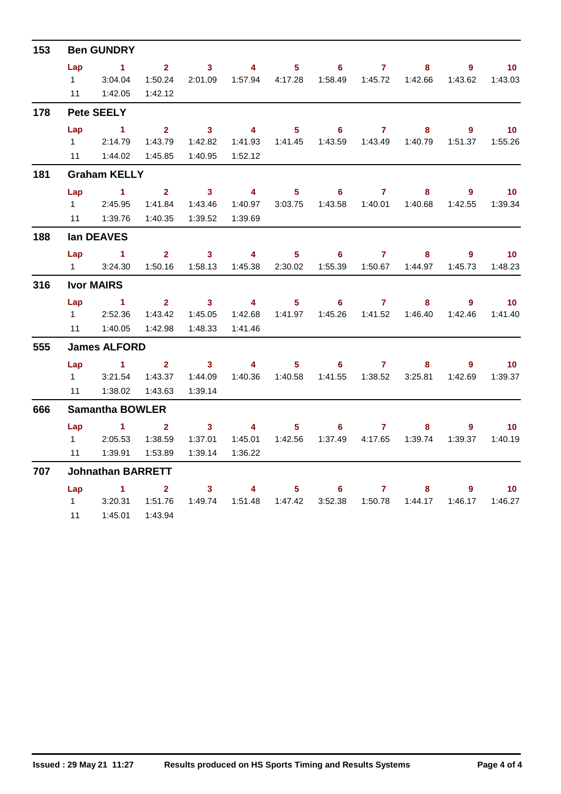| 153                                           |                        | <b>Ben GUNDRY</b>        |                         |                         |                         |                  |                                                      |                |         |                |                             |  |
|-----------------------------------------------|------------------------|--------------------------|-------------------------|-------------------------|-------------------------|------------------|------------------------------------------------------|----------------|---------|----------------|-----------------------------|--|
|                                               | Lap                    | $\sim$ 1                 | $\overline{\mathbf{2}}$ | $\overline{\mathbf{3}}$ | $\overline{4}$          | 5 <sub>1</sub>   | $6 -$                                                | $\overline{7}$ | 8       | $9^{\circ}$    | 10                          |  |
|                                               | $1 \quad$              | 3:04.04                  | 1:50.24                 |                         |                         |                  | 2:01.09  1:57.94  4:17.28  1:58.49  1:45.72  1:42.66 |                |         |                | 1:43.62  1:43.03            |  |
| 178<br>181<br>188<br>316<br>555<br>666<br>707 |                        | 11  1:42.05              | 1:42.12                 |                         |                         |                  |                                                      |                |         |                |                             |  |
|                                               |                        | <b>Pete SEELY</b>        |                         |                         |                         |                  |                                                      |                |         |                |                             |  |
|                                               | Lap                    | $\sim$ 1                 | 2 <sup>1</sup>          | $\sim$ 3                | $\overline{\mathbf{4}}$ |                  | $5 \t\t 6 \t\t 7$                                    |                | 8       |                | $9 \t 10$                   |  |
|                                               |                        | 12:14.79                 | 1:43.79                 | 1:42.82                 |                         |                  | 1:41.93  1:41.45  1:43.59  1:43.49  1:40.79          |                |         |                |                             |  |
|                                               |                        | 11  1:44.02              | 1:45.85                 | 1:40.95                 | 1:52.12                 |                  |                                                      |                |         |                |                             |  |
|                                               | <b>Graham KELLY</b>    |                          |                         |                         |                         |                  |                                                      |                |         |                |                             |  |
|                                               | Lap                    | $\sim$ 1                 | $2^{\circ}$             | $\sim$ 3                | $\overline{\mathbf{4}}$ | 5 <sub>1</sub>   |                                                      | 67             | 8       | $\overline{9}$ | $\overline{10}$             |  |
|                                               |                        | $1 \quad 2:45.95$        | 1:41.84                 | 1:43.46                 | 1:40.97                 | 3:03.75          |                                                      |                | 1:40.68 |                | 1:42.55   1:39.34           |  |
|                                               |                        |                          | 1:40.35                 | 1:39.52                 | 1:39.69                 |                  |                                                      |                |         |                |                             |  |
|                                               |                        | lan DEAVES               |                         |                         |                         |                  |                                                      |                |         |                |                             |  |
|                                               | Lap                    | $\sim$ 1                 | $2^{\circ}$             | $\overline{\mathbf{3}}$ | $\overline{\mathbf{4}}$ | $5 -$            | $\overline{\phantom{a}}$ 6                           | $\overline{7}$ | 8       | $\overline{9}$ | $\overline{\mathbf{10}}$    |  |
|                                               | $1 \quad$              | 3:24.30                  | 1:50.16                 | 1:58.13                 |                         |                  |                                                      |                | 1:44.97 | 1:45.73        | 1:48.23                     |  |
|                                               |                        | <b>Ivor MAIRS</b>        |                         |                         |                         |                  |                                                      |                |         |                |                             |  |
|                                               | Lap                    | $\sim$ 1.1               |                         | $2 \t 3$                | $\overline{\mathbf{a}}$ |                  | $5 \t\t 6 \t\t 7$                                    |                | 8       | 9              | $\overline{\mathbf{10}}$    |  |
|                                               | $1 \quad$              | 2:52.36                  | 1:43.42                 | 1:45.05                 | 1:42.68                 |                  | 1:41.97  1:45.26  1:41.52  1:46.40                   |                |         |                | 1:42.46 1:41.40             |  |
|                                               | 11                     | 1:40.05                  | 1:42.98                 | 1:48.33                 | 1:41.46                 |                  |                                                      |                |         |                |                             |  |
|                                               |                        | <b>James ALFORD</b>      |                         |                         |                         |                  |                                                      |                |         |                |                             |  |
|                                               |                        | $Lap$ 1                  |                         | $2 \t 3 \t 4$           |                         |                  | $5 \t\t 6 \t\t 7$                                    |                | 8       | 9              | $\overline{\phantom{0}}$ 10 |  |
|                                               | $1 \quad \blacksquare$ | 3:21.54                  | 1:43.37                 | 1:44.09                 |                         | 1:40.36  1:40.58 |                                                      |                | 3:25.81 | 1:42.69        | 1:39.37                     |  |
|                                               | 11                     | 1:38.02                  | 1:43.63                 | 1:39.14                 |                         |                  |                                                      |                |         |                |                             |  |
|                                               |                        | <b>Samantha BOWLER</b>   |                         |                         |                         |                  |                                                      |                |         |                |                             |  |
|                                               | Lap                    | $\sim$ $\sim$ 1          | $\overline{\mathbf{2}}$ | $\overline{\mathbf{3}}$ | $\overline{\mathbf{A}}$ | $5 -$            |                                                      | $6\qquad 7$    | 8       | 9              | $\blacksquare$ 10           |  |
|                                               | $1 \quad$              | 2:05.53                  | 1:38.59                 | 1:37.01                 | 1:45.01                 |                  |                                                      |                |         |                | 1:39.37  1:40.19            |  |
|                                               | 11                     | 1:39.91                  | 1:53.89                 | 1:39.14                 | 1:36.22                 |                  |                                                      |                |         |                |                             |  |
|                                               |                        | <b>Johnathan BARRETT</b> |                         |                         |                         |                  |                                                      |                |         |                |                             |  |
|                                               |                        | Lap $1$ 2                |                         | 3 <sup>7</sup>          | $\overline{4}$          | $5 -$            |                                                      | $6\qquad 7$    | 8       | 9              | $\blacksquare$ 10           |  |
|                                               | $1 \quad \Box$         | 3:20.31                  | 1:51.76                 | 1:49.74                 | 1:51.48  1:47.42        |                  | 3:52.38                                              | 1:50.78        | 1:44.17 | 1:46.17        | 1:46.27                     |  |
|                                               | 11                     | 1:45.01                  | 1:43.94                 |                         |                         |                  |                                                      |                |         |                |                             |  |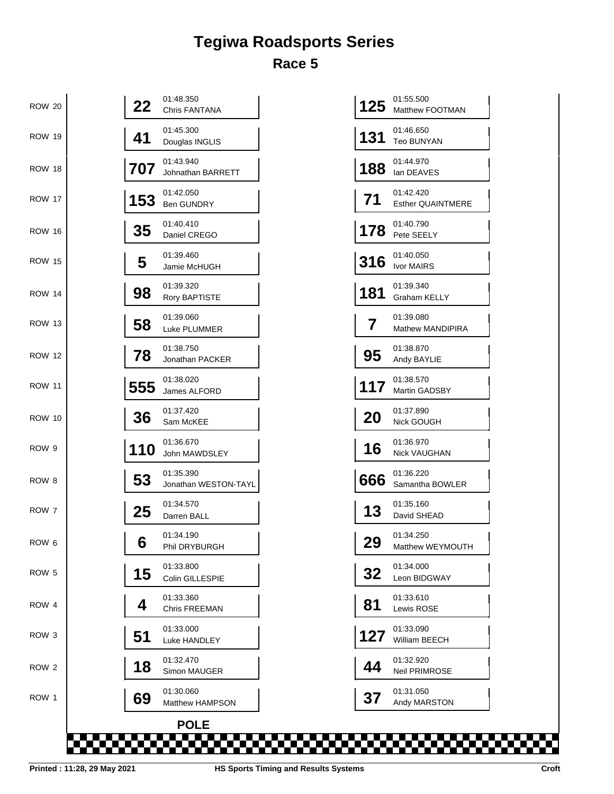## **Tegiwa Roadsports Series Race 5**

| <b>ROW 20</b> | 22  | 01:48.350<br>Chris FANTANA        |     | 01:55.500<br>125<br>Matthew FOOTMAN   |
|---------------|-----|-----------------------------------|-----|---------------------------------------|
| <b>ROW 19</b> | 41  | 01:45.300<br>Douglas INGLIS       | 131 | 01:46.650<br><b>Teo BUNYAN</b>        |
| <b>ROW 18</b> | 707 | 01:43.940<br>Johnathan BARRETT    |     | 01:44.970<br>188<br>lan DEAVES        |
| <b>ROW 17</b> | 153 | 01:42.050<br>Ben GUNDRY           | 71  | 01:42.420<br><b>Esther QUAINTMERE</b> |
| <b>ROW 16</b> | 35  | 01:40.410<br>Daniel CREGO         |     | 01:40.790<br>178<br>Pete SEELY        |
| <b>ROW 15</b> | 5   | 01:39.460<br>Jamie McHUGH         |     | 01:40.050<br>316<br>Ivor MAIRS        |
| <b>ROW 14</b> | 98  | 01:39.320<br>Rory BAPTISTE        | 181 | 01:39.340<br><b>Graham KELLY</b>      |
| ROW 13        | 58  | 01:39.060<br>Luke PLUMMER         | 7   | 01:39.080<br>Mathew MANDIPIRA         |
| <b>ROW 12</b> | 78  | 01:38.750<br>Jonathan PACKER      |     | 01:38.870<br>95<br>Andy BAYLIE        |
| <b>ROW 11</b> | 555 | 01:38.020<br>James ALFORD         |     | 01:38.570<br>117<br>Martin GADSBY     |
| <b>ROW 10</b> | 36  | 01:37.420<br>Sam McKEE            | 20  | 01:37.890<br>Nick GOUGH               |
| ROW 9         | 110 | 01:36.670<br>John MAWDSLEY        |     | 01:36.970<br>16<br>Nick VAUGHAN       |
| ROW 8         | 53  | 01:35.390<br>Jonathan WESTON-TAYL |     | 01:36.220<br>666<br>Samantha BOWLER   |
| ROW 7         | 25  | 01:34.570<br>Darren BALL          |     | 01:35.160<br>13<br>David SHEAD        |
| ROW 6         | 6   | 01:34.190<br>Phil DRYBURGH        | 29  | 01:34.250<br>Matthew WEYMOUTH         |
| ROW 5         | 15  | 01:33.800<br>Colin GILLESPIE      |     | 01:34.000<br>32<br>Leon BIDGWAY       |
| ROW 4         | 4   | 01:33.360<br>Chris FREEMAN        | 81  | 01:33.610<br>Lewis ROSE               |
| ROW 3         | 51  | 01:33.000<br>Luke HANDLEY         |     | 01:33.090<br>127<br>William BEECH     |
| ROW 2         | 18  | 01:32.470<br>Simon MAUGER         |     | 01:32.920<br>44<br>Neil PRIMROSE      |
| ROW 1         | 69  | 01:30.060<br>Matthew HAMPSON      | 37  | 01:31.050<br>Andy MARSTON             |
|               |     | <b>POLE</b>                       |     |                                       |

| 125       | 01:55.500<br><b>Matthew FOOTMAN</b>   |  |
|-----------|---------------------------------------|--|
| 131       | 01:46.650<br>Teo BUNYAN               |  |
| 188       | 01:44.970<br>lan DEAVES               |  |
| 71        | 01:42.420<br><b>Esther QUAINTMERE</b> |  |
| 178       | 01:40.790<br>Pete SEELY               |  |
| 316       | 01:40.050<br><b>Ivor MAIRS</b>        |  |
| 181       | 01:39.340<br>Graham KELLY             |  |
| 7         | 01:39.080<br>Mathew MANDIPIRA         |  |
| 95        | 01:38.870<br>Andy BAYLIE              |  |
| 117       | 01:38.570<br><b>Martin GADSBY</b>     |  |
| <b>20</b> | 01:37.890<br>Nick GOUGH               |  |
| 16        | 01:36.970<br>Nick VAUGHAN             |  |
| 666       | 01:36.220<br>Samantha BOWLER          |  |
| 13        | 01:35.160<br>David SHEAD              |  |
| 29        | 01:34.250<br>Matthew WEYMOUTH         |  |
| 32        | 01:34.000<br>Leon BIDGWAY             |  |
| 81        | 01:33.610<br>Lewis ROSE               |  |
| 127       | 01:33.090<br>William BEECH            |  |
| 44        | 01:32.920<br>Neil PRIMROSE            |  |
| 37        | 01:31.050<br>Andy MARSTON             |  |

mana any kaominin

**Typ** 

┲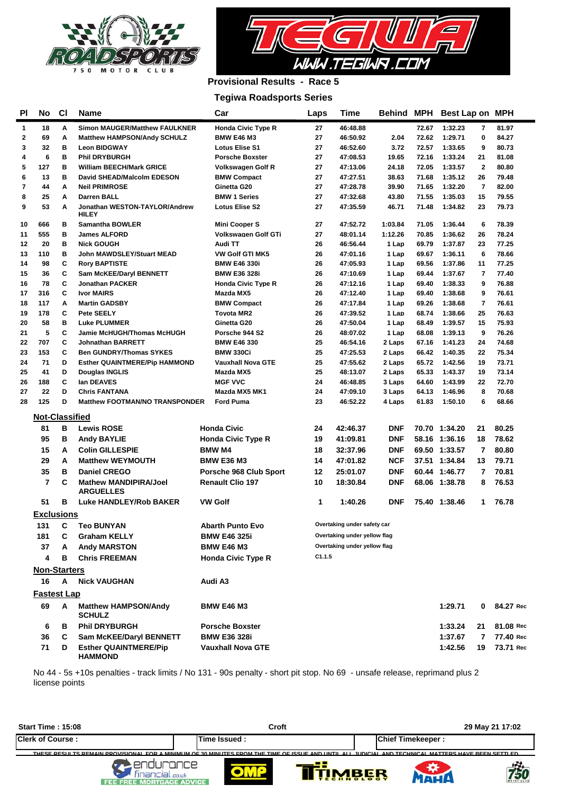

**HAMMOND**



## **Provisional Results - Race 5**

### **Tegiwa Roadsports Series**

| ΡI           | No                    | <b>CI</b> | Name                                             | Car                       | Laps     | <b>Time</b>                  | <b>Behind MPH</b> |                | Best Lap on MPH    |                                |                |
|--------------|-----------------------|-----------|--------------------------------------------------|---------------------------|----------|------------------------------|-------------------|----------------|--------------------|--------------------------------|----------------|
| $\mathbf{1}$ | 18                    | A         | <b>Simon MAUGER/Matthew FAULKNER</b>             | <b>Honda Civic Type R</b> | 27       | 46:48.88                     |                   | 72.67          | 1:32.23            | 7                              | 81.97          |
| $\mathbf 2$  | 69                    | A         | Matthew HAMPSON/Andy SCHULZ                      | <b>BMW E46 M3</b>         | 27       | 46:50.92                     | 2.04              | 72.62          | 1:29.71            | 0                              | 84.27          |
| 3            | 32                    | в         | <b>Leon BIDGWAY</b>                              | <b>Lotus Elise S1</b>     | 27       | 46:52.60                     | 3.72              | 72.57          | 1:33.65            | 9                              | 80.73          |
| 4            | 6                     | в         | <b>Phil DRYBURGH</b>                             | <b>Porsche Boxster</b>    | 27       | 47:08.53                     | 19.65             | 72.16          | 1:33.24            | 21                             | 81.08          |
| 5            | 127                   | в         | <b>William BEECH/Mark GRICE</b>                  | <b>Volkswagen Golf R</b>  | 27       | 47:13.06                     | 24.18             | 72.05          | 1:33.57            | $\mathbf{2}$                   | 80.80          |
| 6            | 13                    | в         | David SHEAD/Malcolm EDESON                       | <b>BMW Compact</b>        | 27       | 47:27.51                     | 38.63             | 71.68          | 1:35.12            | 26                             | 79.48          |
| 7            | 44                    | A         | <b>Neil PRIMROSE</b>                             | Ginetta G20               | 27       | 47:28.78                     | 39.90             | 71.65          | 1:32.20            | 7                              | 82.00          |
| 8            | 25                    | A         | <b>Darren BALL</b>                               | <b>BMW 1 Series</b>       | 27       | 47:32.68                     | 43.80             | 71.55          | 1:35.03            | 15                             | 79.55          |
| 9            | 53                    | A         | Jonathan WESTON-TAYLOR/Andrew<br>HILEY           | <b>Lotus Elise S2</b>     | 27       | 47:35.59                     | 46.71             | 71.48          | 1:34.82            | 23                             | 79.73          |
| 10           | 666                   | в         | <b>Samantha BOWLER</b>                           | <b>Mini Cooper S</b>      | 27       | 47:52.72                     | 1:03.84           | 71.05          | 1:36.44            | 6                              | 78.39          |
| 11           | 555                   | в         | <b>James ALFORD</b>                              | Volkswagen Golf GTi       | 27       | 48:01.14                     | 1:12.26           | 70.85          | 1:36.62            | 26                             | 78.24          |
| 12           | 20                    | в         | <b>Nick GOUGH</b>                                | Audi TT                   | 26       | 46:56.44                     | 1 Lap             | 69.79          | 1:37.87            | 23                             | 77.25          |
| 13           | 110                   | в         | John MAWDSLEY/Stuart MEAD                        | <b>VW Golf GTI MK5</b>    | 26       | 47:01.16                     | 1 Lap             | 69.67          | 1:36.11            | 6                              | 78.66          |
| 14           | 98                    | C         | <b>Rory BAPTISTE</b>                             | <b>BMW E46 330i</b>       | 26       | 47:05.93                     | 1 Lap             | 69.56          | 1:37.86            | 11                             | 77.25          |
| 15           | 36                    | C         | Sam McKEE/Daryl BENNETT                          | <b>BMW E36 328i</b>       | 26       | 47:10.69                     | 1 Lap             | 69.44          | 1:37.67            | 7                              | 77.40          |
| 16           | 78                    | c         | <b>Jonathan PACKER</b>                           | <b>Honda Civic Type R</b> | 26       | 47:12.16                     | 1 Lap             | 69.40          | 1:38.33            | 9                              | 76.88          |
| 17           | 316                   | C         | <b>Ivor MAIRS</b>                                | Mazda MX5                 | 26       | 47:12.40                     | 1 Lap             | 69.40          | 1:38.68            | 9                              | 76.61          |
| 18<br>19     | 117<br>178            | A<br>C    | <b>Martin GADSBY</b><br><b>Pete SEELY</b>        | <b>BMW Compact</b>        | 26<br>26 | 47:17.84<br>47:39.52         | 1 Lap             | 69.26<br>68.74 | 1:38.68<br>1:38.66 | $\overline{\phantom{a}}$<br>25 | 76.61<br>76.63 |
| 20           | 58                    | в         | <b>Luke PLUMMER</b>                              | Toyota MR2<br>Ginetta G20 | 26       | 47:50.04                     | 1 Lap<br>1 Lap    | 68.49          | 1:39.57            | 15                             | 75.93          |
| 21           | 5                     | C         | Jamie McHUGH/Thomas McHUGH                       | Porsche 944 S2            | 26       | 48:07.02                     | 1 Lap             | 68.08          | 1:39.13            | 9                              | 76.26          |
| 22           | 707                   | C         | <b>Johnathan BARRETT</b>                         | <b>BMW E46 330</b>        | 25       | 46:54.16                     | 2 Laps            | 67.16          | 1:41.23            | 24                             | 74.68          |
| 23           | 153                   | C         | <b>Ben GUNDRY/Thomas SYKES</b>                   | <b>BMW 330Ci</b>          | 25       | 47:25.53                     | 2 Laps            | 66.42          | 1:40.35            | 22                             | 75.34          |
| 24           | 71                    | D         | <b>Esther QUAINTMERE/Pip HAMMOND</b>             | <b>Vauxhall Nova GTE</b>  | 25       | 47:55.62                     | 2 Laps            | 65.72          | 1:42.56            | 19                             | 73.71          |
| 25           | 41                    | D         | Douglas INGLIS                                   | Mazda MX5                 | 25       | 48:13.07                     | 2 Laps            | 65.33          | 1:43.37            | 19                             | 73.14          |
| 26           | 188                   | C         | lan DEAVES                                       | <b>MGF VVC</b>            | 24       | 46:48.85                     | 3 Laps            | 64.60          | 1:43.99            | 22                             | 72.70          |
| 27           | 22                    | D         | <b>Chris FANTANA</b>                             | Mazda MX5 MK1             | 24       | 47:09.10                     | 3 Laps            | 64.13          | 1:46.96            | 8                              | 70.68          |
| 28           | 125                   | D         | <b>Matthew FOOTMAN/NO TRANSPONDER</b>            | <b>Ford Puma</b>          | 23       | 46:52.22                     | 4 Laps            | 61.83          | 1:50.10            | 6                              | 68.66          |
|              | <b>Not-Classified</b> |           |                                                  |                           |          |                              |                   |                |                    |                                |                |
|              | 81                    | в         | <b>Lewis ROSE</b>                                | <b>Honda Civic</b>        | 24       | 42:46.37                     | <b>DNF</b>        |                | 70.70 1:34.20      | 21                             | 80.25          |
|              | 95                    | в         | Andy BAYLIE                                      | <b>Honda Civic Type R</b> | 19       | 41:09.81                     | <b>DNF</b>        |                | 58.16 1:36.16      | 18                             | 78.62          |
|              | 15                    | A         | <b>Colin GILLESPIE</b>                           | <b>BMW M4</b>             | 18       | 32:37.96                     | <b>DNF</b>        |                | 69.50 1:33.57      | 7                              | 80.80          |
|              | 29                    | A         | <b>Matthew WEYMOUTH</b>                          | <b>BMW E36 M3</b>         | 14       | 47:01.82                     | NCF               |                | 37.51 1:34.84      | 13                             | 79.71          |
|              | 35                    | в         | <b>Daniel CREGO</b>                              | Porsche 968 Club Sport    | 12       | 25:01.07                     | <b>DNF</b>        |                | 60.44 1:46.77      | 7                              | 70.81          |
|              | 7                     | C         | <b>Mathew MANDIPIRA/Joel</b><br><b>ARGUELLES</b> | <b>Renault Clio 197</b>   | 10       | 18:30.84                     | DNF               |                | 68.06 1:38.78      | 8                              | 76.53          |
|              | 51                    | в         | <b>Luke HANDLEY/Rob BAKER</b>                    | <b>VW Golf</b>            | 1        | 1:40.26                      | <b>DNF</b>        |                | 75.40 1:38.46      | 1                              | 76.78          |
|              | <b>Exclusions</b>     |           |                                                  |                           |          |                              |                   |                |                    |                                |                |
|              | 131                   | С         | <b>Teo BUNYAN</b>                                | <b>Abarth Punto Evo</b>   |          | Overtaking under safety car  |                   |                |                    |                                |                |
|              | 181                   | C         | <b>Graham KELLY</b>                              | BMW E46 325i              |          | Overtaking under yellow flag |                   |                |                    |                                |                |
|              | 37                    | А         | <b>Andy MARSTON</b>                              | <b>BMW E46 M3</b>         |          | Overtaking under yellow flag |                   |                |                    |                                |                |
|              | 4                     | в         | <b>Chris FREEMAN</b>                             | <b>Honda Civic Type R</b> | C1.1.5   |                              |                   |                |                    |                                |                |
|              | <b>Non-Starters</b>   |           |                                                  |                           |          |                              |                   |                |                    |                                |                |
|              |                       |           | <b>Nick VAUGHAN</b>                              |                           |          |                              |                   |                |                    |                                |                |
|              | 16                    | A         |                                                  | Audi A3                   |          |                              |                   |                |                    |                                |                |
|              | <b>Fastest Lap</b>    |           |                                                  |                           |          |                              |                   |                |                    |                                |                |
|              | 69                    | Α         | <b>Matthew HAMPSON/Andy</b><br><b>SCHULZ</b>     | <b>BMW E46 M3</b>         |          |                              |                   |                | 1:29.71            | 0                              | 84.27 Red      |
|              | 6                     | В         | <b>Phil DRYBURGH</b>                             | <b>Porsche Boxster</b>    |          |                              |                   |                | 1:33.24            | 21                             | 81.08 Red      |
|              | 36                    | C         | <b>Sam McKEE/Daryl BENNETT</b>                   | <b>BMW E36 328i</b>       |          |                              |                   |                | 1:37.67            | 7                              | 77.40 Red      |
|              | 71                    | D         | <b>Esther QUAINTMERE/Pip</b>                     |                           |          |                              |                   | 1:42.56        | 19                 | 73.71 Red                      |                |

No 44 - 5s +10s penalties - track limits / No 131 - 90s penalty - short pit stop. No 69 - unsafe release, reprimand plus 2 license points

| <b>Start Time: 15:08</b> | Croft                                                                                                                                               | 29 May 21 17:02                       |
|--------------------------|-----------------------------------------------------------------------------------------------------------------------------------------------------|---------------------------------------|
| <b>Clerk of Course:</b>  | Time Issued :                                                                                                                                       | <b>Chief Timekeeper:</b>              |
|                          | THESE DESITITS DEMAIN DROVISIONAL EOR A MINIMUM OF 20 MINITES EROM THE TIME OF ISSUE AND UNTULALL JUDICIAL AND TECHNICAL MATTERS HAVE REEN SETTLED. |                                       |
| EE MORTGAGE ADVICE       | .co.uk                                                                                                                                              | MBER<br><b>750</b><br><b>CHNOLOGY</b> |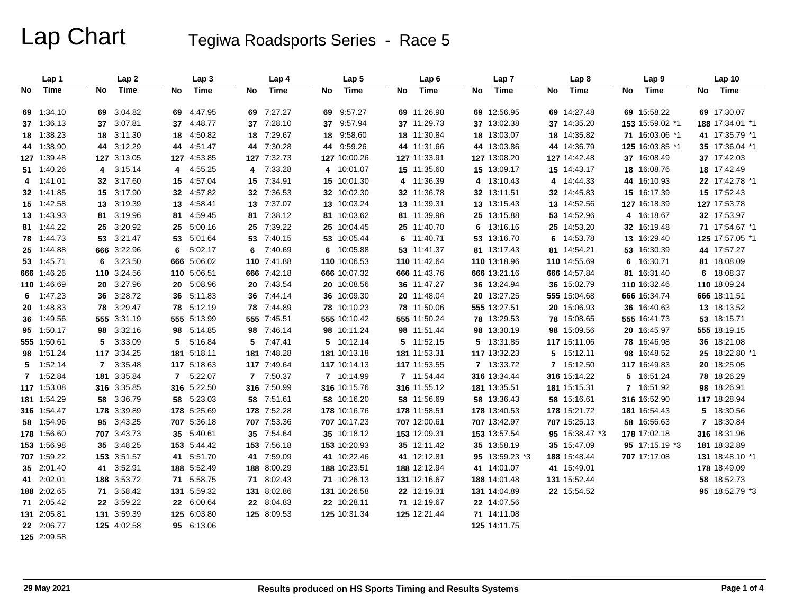# Lap Chart Tegiwa Roadsports Series - Race 5

|    | Lap 1       |    | Lap <sub>2</sub> |                | Lap 3       |                | Lap 4       |    | Lap 5        |    | Lap <sub>6</sub> |    | Lap 7          |    | Lap <sub>8</sub> |    | Lap <sub>9</sub> |    | Lap <sub>10</sub> |
|----|-------------|----|------------------|----------------|-------------|----------------|-------------|----|--------------|----|------------------|----|----------------|----|------------------|----|------------------|----|-------------------|
| No | Time        | No | Time             | No             | Time        | No             | Time        | No | Time         | No | Time             | No | Time           | No | Time             | No | Time             | No | Time              |
|    | 69 1:34.10  |    | 69 3:04.82       | 69             | 4:47.95     | 69             | 7:27.27     |    | 69 9:57.27   |    | 69 11:26.98      |    | 69 12:56.95    |    | 69 14:27.48      |    | 69 15:58.22      |    | 69 17:30.07       |
|    | 37 1:36.13  |    | 37 3:07.81       | 37             | 4:48.77     | 37             | 7:28.10     |    | 37 9.57.94   |    | 37 11:29.73      |    | 37 13:02.38    |    | 37 14:35.20      |    | 153 15:59.02 *1  |    | 188 17:34.01 *1   |
|    | 18 1:38.23  |    | 18 3:11.30       | 18             | 4:50.82     | 18             | 7:29.67     | 18 | 9:58.60      |    | 18 11:30.84      |    | 18 13:03.07    |    | 18 14:35.82      |    | 71 16:03.06 *1   |    | 41 17:35.79 *1    |
|    | 44 1:38.90  |    | 44 3:12.29       | 44             | 4:51.47     | 44             | 7:30.28     |    | 44 9:59.26   |    | 44 11:31.66      |    | 44 13:03.86    |    | 44 14:36.79      |    | 125 16:03.85 *1  |    | 35 17:36.04 *1    |
|    | 127 1:39.48 |    | 127 3:13.05      |                | 127 4:53.85 | 127            | 7:32.73     |    | 127 10:00.26 |    | 127 11:33.91     |    | 127 13:08.20   |    | 127 14:42.48     |    | 37 16:08.49      |    | 37 17:42.03       |
|    | 51 1:40.26  |    | 4 3:15.14        | 4              | 4:55.25     | 4              | 7:33.28     |    | 4 10:01.07   |    | 15 11:35.60      |    | 15 13:09.17    |    | 15 14:43.17      |    | 18 16:08.76      |    | 18 17:42.49       |
| 4  | 1:41.01     |    | 32 3:17.60       | 15             | 4:57.04     | 15             | 7:34.91     |    | 15 10:01.30  |    | 4 11:36.39       |    | 4 13:10.43     | 4  | 14:44.33         |    | 44 16:10.93      |    | 22 17:42.78 *1    |
|    | 32 1:41.85  |    | 15 3:17.90       | 32             | 4:57.82     | 32             | 7:36.53     |    | 32 10:02.30  |    | 32 11:36.78      |    | 32 13:11.51    |    | 32 14:45.83      |    | 15 16:17.39      |    | 15 17:52.43       |
|    | 15 1:42.58  |    | 13 3:19.39       | 13             | 4:58.41     | 13             | 7:37.07     |    | 13 10:03.24  |    | 13 11:39.31      |    | 13 13:15.43    |    | 13 14:52.56      |    | 127 16:18.39     |    | 127 17:53.78      |
|    | 13 1:43.93  |    | 81 3:19.96       | 81             | 4:59.45     | 81             | 7:38.12     |    | 81 10:03.62  |    | 81 11:39.96      |    | 25 13:15.88    |    | 53 14:52.96      | 4  | 16:18.67         |    | 32 17:53.97       |
|    | 81 1:44.22  |    | 25 3:20.92       | 25             | 5:00.16     | 25             | 7:39.22     |    | 25 10:04.45  |    | 25 11:40.70      | 6  | 13:16.16       |    | 25 14:53.20      |    | 32 16:19.48      |    | 71 17:54.67 *1    |
|    | 78 1:44.73  |    | 53 3:21.47       | 53             | 5:01.64     | 53             | 7:40.15     |    | 53 10:05.44  |    | 6 11:40.71       |    | 53 13:16.70    | 6  | 14:53.78         |    | 13 16:29.40      |    | 125 17:57.05 *1   |
|    | 25 1:44.88  |    | 666 3:22.96      | 6              | 5:02.17     | 6              | 7:40.69     |    | 6 10:05.88   |    | 53 11:41.37      |    | 81 13:17.43    |    | 81 14:54.21      |    | 53 16:30.39      |    | 44 17:57.27       |
|    | 53 1:45.71  | 6  | 3:23.50          |                | 666 5:06.02 | 110            | 7:41.88     |    | 110 10:06.53 |    | 110 11:42.64     |    | 110 13:18.96   |    | 110 14:55.69     | 6  | 16:30.71         |    | 81 18:08.09       |
|    | 666 1:46.26 |    | 110 3:24.56      |                | 110 5:06.51 | 666            | 7:42.18     |    | 666 10:07.32 |    | 666 11:43.76     |    | 666 13:21.16   |    | 666 14:57.84     |    | 81 16:31.40      |    | 6 18:08.37        |
|    | 110 1:46.69 |    | 20 3:27.96       | 20             | 5:08.96     | 20             | 7:43.54     |    | 20 10:08.56  |    | 36 11:47.27      |    | 36 13:24.94    |    | 36 15:02.79      |    | 110 16:32.46     |    | 110 18:09.24      |
| 6  | 1:47.23     |    | 36 3:28.72       | 36             | 5:11.83     | 36             | 7:44.14     |    | 36 10:09.30  |    | 20 11:48.04      |    | 20 13:27.25    |    | 555 15:04.68     |    | 666 16:34.74     |    | 666 18:11.51      |
|    | 20 1:48.83  |    | 78 3:29.47       |                | 78 5:12.19  | 78             | 7:44.89     |    | 78 10:10.23  |    | 78 11:50.06      |    | 555 13:27.51   |    | 20 15:06.93      |    | 36 16:40.63      |    | 13 18:13.52       |
|    | 36 1:49.56  |    | 555 3:31.19      |                | 555 5:13.99 |                | 555 7:45.51 |    | 555 10:10.42 |    | 555 11:50.24     |    | 78 13:29.53    |    | 78 15:08.65      |    | 555 16:41.73     |    | 53 18:15.71       |
|    | 95 1:50.17  |    | 98 3:32.16       | 98             | 5:14.85     | 98             | 7:46.14     |    | 98 10:11.24  |    | 98 11:51.44      |    | 98 13:30.19    |    | 98 15:09.56      |    | 20 16:45.97      |    | 555 18:19.15      |
|    | 555 1:50.61 | 5  | 3:33.09          | 5              | 5:16.84     | 5              | 7:47.41     |    | 5 10:12.14   |    | 5 11:52.15       |    | 5 13:31.85     |    | 117 15:11.06     |    | 78 16:46.98      |    | 36 18:21.08       |
|    | 98 1:51.24  |    | 117 3:34.25      |                | 181 5:18.11 | 181            | 7:48.28     |    | 181 10:13.18 |    | 181 11:53.31     |    | 117 13:32.23   | 5. | 15:12.11         |    | 98 16:48.52      |    | 25 18:22.80 *1    |
|    | 5 1:52.14   |    | 7 3:35.48        |                | 117 5:18.63 |                | 117 7:49.64 |    | 117 10:14.13 |    | 117 11:53.55     |    | 7 13:33.72     |    | 7 15:12.50       |    | 117 16:49.83     |    | 20 18:25.05       |
|    | 7 1:52.84   |    | 181 3:35.84      | $\overline{7}$ | 5:22.07     | $\overline{7}$ | 7:50.37     |    | 7 10:14.99   |    | 7 11:54.44       |    | 316 13:34.44   |    | 316 15:14.22     | 5  | 16:51.24         |    | 78 18:26.29       |
|    | 117 1:53.08 |    | 316 3:35.85      |                | 316 5:22.50 |                | 316 7:50.99 |    | 316 10:15.76 |    | 316 11:55.12     |    | 181 13:35.51   |    | 181 15:15.31     | 7  | 16:51.92         |    | 98 18:26.91       |
|    | 181 1:54.29 |    | 58 3:36.79       | 58             | 5:23.03     |                | 58 7:51.61  |    | 58 10:16.20  |    | 58 11:56.69      |    | 58 13:36.43    |    | 58 15:16.61      |    | 316 16:52.90     |    | 117 18:28.94      |
|    | 316 1:54.47 |    | 178 3:39.89      |                | 178 5:25.69 | 178            | 7:52.28     |    | 178 10:16.76 |    | 178 11:58.51     |    | 178 13:40.53   |    | 178 15:21.72     |    | 181 16:54.43     |    | 5 18:30.56        |
|    | 58 1:54.96  |    | 95 3:43.25       |                | 707 5:36.18 |                | 707 7:53.36 |    | 707 10:17.23 |    | 707 12:00.61     |    | 707 13:42.97   |    | 707 15:25.13     |    | 58 16:56.63      |    | 7 18:30.84        |
|    | 178 1:56.60 |    | 707 3:43.73      | 35             | 5:40.61     | 35             | 7:54.64     |    | 35 10:18.12  |    | 153 12:09.31     |    | 153 13:57.54   |    | 95 15:38.47 *3   |    | 178 17:02.18     |    | 316 18:31.96      |
|    | 153 1:56.98 |    | 35 3:48.25       |                | 153 5:44.42 | 153            | 7:56.18     |    | 153 10:20.93 |    | 35 12:11.42      |    | 35 13:58.19    |    | 35 15:47.09      |    | 95 17:15.19 *3   |    | 181 18:32.89      |
|    | 707 1:59.22 |    | 153 3:51.57      |                | 41 5:51.70  | 41             | 7:59.09     |    | 41 10:22.46  |    | 41 12:12.81      |    | 95 13:59.23 *3 |    | 188 15:48.44     |    | 707 17:17.08     |    | 131 18:48.10 *1   |
|    | 35 2:01.40  |    | 41 3:52.91       |                | 188 5:52.49 |                | 188 8:00.29 |    | 188 10:23.51 |    | 188 12:12.94     |    | 41 14:01.07    |    | 41 15:49.01      |    |                  |    | 178 18:49.09      |
|    | 41 2:02.01  |    | 188 3:53.72      | 71             | 5:58.75     | 71             | 8:02.43     |    | 71 10:26.13  |    | 131 12:16.67     |    | 188 14:01.48   |    | 131 15:52.44     |    |                  |    | 58 18:52.73       |
|    | 188 2:02.65 |    | 71 3:58.42       |                | 131 5:59.32 |                | 131 8:02.86 |    | 131 10:26.58 |    | 22 12:19.31      |    | 131 14:04.89   |    | 22 15:54.52      |    |                  |    | 95 18:52.79 *3    |
|    | 71 2:05.42  |    | 22 3:59.22       |                | 22 6:00.64  | 22             | 8:04.83     |    | 22 10:28.11  |    | 71 12:19.67      |    | 22 14:07.56    |    |                  |    |                  |    |                   |
|    | 131 2:05.81 |    | 131 3:59.39      |                | 125 6:03.80 |                | 125 8:09.53 |    | 125 10:31.34 |    | 125 12:21.44     |    | 71 14:11.08    |    |                  |    |                  |    |                   |
|    | 22 2:06.77  |    | 125 4:02.58      |                | 95 6:13.06  |                |             |    |              |    |                  |    | 125 14:11.75   |    |                  |    |                  |    |                   |
|    | 125 2:09.58 |    |                  |                |             |                |             |    |              |    |                  |    |                |    |                  |    |                  |    |                   |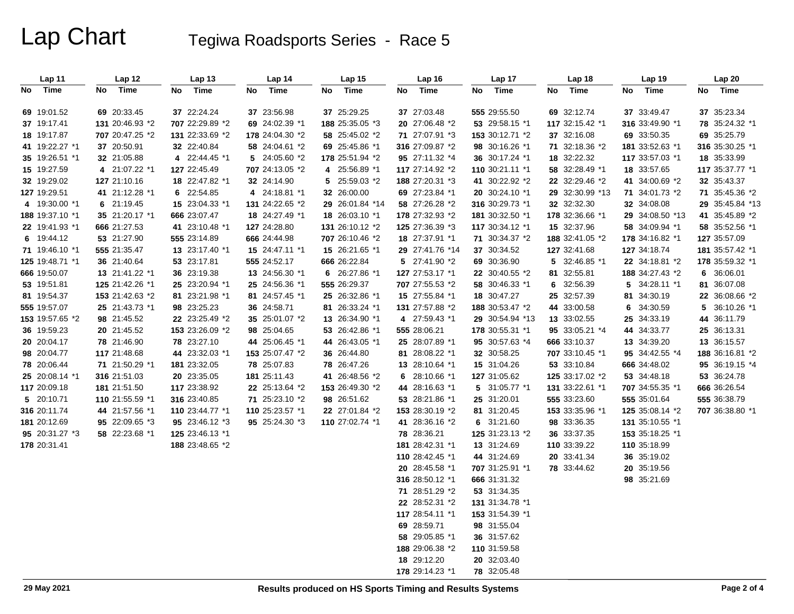# Lap Chart Tegiwa Roadsports Series - Race 5

| Lap 11          | Lap 12          | <b>Lap 13</b>   | Lap 14          | Lap 15          | Lap 16              | Lap <sub>17</sub> | Lap 18          | Lap <sub>19</sub> | <b>Lap 20</b>   |
|-----------------|-----------------|-----------------|-----------------|-----------------|---------------------|-------------------|-----------------|-------------------|-----------------|
| Time<br>No      | Time<br>No      | Time<br>No      | Time<br>No      | Time<br>No      | Time<br>No          | Time<br>No.       | Time<br>No      | Time<br>No        | Time<br>No      |
| 69 19:01.52     | 69 20:33.45     | 37 22:24.24     | 37 23:56.98     | 37 25:29.25     | 37 27:03.48         | 555 29:55.50      | 69 32:12.74     | 37 33:49.47       | 37 35:23.34     |
| 37 19:17.41     | 131 20:46.93 *2 | 707 22:29.89 *2 | 69 24:02.39 *1  | 188 25:35.05 *3 | 20 27:06.48 *2      | 53 29:58.15 *1    | 117 32:15.42 *1 | 316 33:49.90 *1   | 78 35:24.32 *1  |
| 18 19:17.87     | 707 20:47.25 *2 | 131 22:33.69 *2 | 178 24:04.30 *2 | 58 25:45.02 *2  | 71 27:07.91 *3      | 153 30:12.71 *2   | 37 32:16.08     | 69 33:50.35       | 69 35:25.79     |
| 41 19:22.27 *1  | 37 20:50.91     | 32 22:40.84     | 58 24:04.61 *2  | 69 25:45.86 *1  | 316 27:09.87 *2     | 98 30:16.26 *1    | 71 32:18.36 *2  | 181 33:52.63 *1   | 316 35:30.25 *1 |
| 35 19:26.51 *1  | 32 21:05.88     | 4 22:44.45 *1   | 5 24:05.60 *2   | 178 25:51.94 *2 | 95 27:11.32 *4      | 36 30:17.24 *1    | 18 32:22.32     | 117 33:57.03 *1   | 18 35:33.99     |
| 15 19:27.59     | 4 21:07.22 *1   | 127 22:45.49    | 707 24:13.05 *2 | 4 25:56.89 *1   | 117 27:14.92 *2     | 110 30:21.11 *1   | 58 32:28.49 *1  | 18 33:57.65       | 117 35:37.77 *1 |
| 32 19:29.02     | 127 21:10.16    | 18 22:47.82 *1  | 32 24:14.90     | 5 25:59.03 *2   | 188 27:20.31 *3     | 41 30:22.92 *2    | 22 32:29.46 *2  | 41 34:00.69 *2    | 32 35:43.37     |
| 127 19:29.51    | 41 21:12.28 *1  | 6 22:54.85      | 4 24:18.81 *1   | 32 26:00.00     | 69 27:23.84 *1      | 20 30:24.10 *1    | 29 32:30.99 *13 | 71 34:01.73 *2    | 71 35:45.36 *2  |
| 4 19:30.00 *1   | 6 21:19.45      | 15 23:04.33 *1  | 131 24:22.65 *2 | 29 26:01.84 *14 | 58 27:26.28 *2      | 316 30:29.73 *1   | 32 32:32.30     | 32 34:08.08       | 29 35:45.84 *13 |
| 188 19:37.10 *1 | 35 21:20.17 *1  | 666 23:07.47    | 18 24:27.49 *1  | 18 26:03.10 *1  | 178 27:32.93 *2     | 181 30:32.50 *1   | 178 32:36.66 *1 | 29 34:08.50 *13   | 41 35:45.89 *2  |
| 22 19:41.93 *1  | 666 21:27.53    | 41 23:10.48 *1  | 127 24:28.80    | 131 26:10.12 *2 | 125 27:36.39 *3     | 117 30:34.12 *1   | 15 32:37.96     | 58 34:09.94 *1    | 58 35:52.56 *1  |
| 6 19:44.12      | 53 21:27.90     | 555 23:14.89    | 666 24:44.98    | 707 26:10.46 *2 | 18 27:37.91 *1      | 71 30:34.37 *2    | 188 32:41.05 *2 | 178 34:16.82 *1   | 127 35:57.09    |
| 71 19:46.10 *1  | 555 21:35.47    | 13 23:17.40 *1  | 15 24:47.11 *1  | 15 26:21.65 *1  | 29 27:41.76 *14     | 37 30:34.52       | 127 32:41.68    | 127 34:18.74      | 181 35:57.42 *1 |
| 125 19:48.71 *1 | 36 21:40.64     | 53 23:17.81     | 555 24:52.17    | 666 26:22.84    | 5 27:41.90 *2       | 69 30:36.90       | 5 32:46.85 *1   | 22 34:18.81 *2    | 178 35:59.32 *1 |
| 666 19:50.07    | 13 21:41.22 *1  | 36 23:19.38     | 13 24:56.30 *1  | 6 26:27.86 *1   | 127 27:53.17 *1     | 22 30:40.55 *2    | 81 32:55.81     | 188 34:27.43 *2   | 6 36:06.01      |
| 53 19:51.81     | 125 21:42.26 *1 | 25 23:20.94 *1  | 25 24:56.36 *1  | 555 26:29.37    | 707 27:55.53 *2     | 58 30:46.33 *1    | 6 32:56.39      | 5 34:28.11 *1     | 81 36:07.08     |
| 81 19:54.37     | 153 21:42.63 *2 | 81 23:21.98 *1  | 81 24:57.45 *1  | 25 26:32.86 *1  | 15 27:55.84 *1      | 18 30:47.27       | 25 32:57.39     | 81 34:30.19       | 22 36:08.66 *2  |
| 555 19:57.07    | 25 21:43.73 *1  | 98 23:25.23     | 36 24:58.71     | 81 26:33.24 *1  | 131 27:57.88 *2     | 188 30:53.47 *2   | 44 33:00.58     | 34:30.59<br>6     | 5 36:10.26 *1   |
| 153 19:57.65 *2 | 98 21:45.52     | 22 23:25.49 *2  | 35 25:01.07 *2  | 13 26:34.90 *1  | 4 27:59.43 *1       | 29 30:54.94 *13   | 13 33:02.55     | 25 34:33.19       | 44 36:11.79     |
| 36 19:59.23     | 20 21:45.52     | 153 23:26.09 *2 | 98 25:04.65     | 53 26:42.86 *1  | <b>555</b> 28:06.21 | 178 30:55.31 *1   | 95 33:05.21 *4  | 44 34:33.77       | 25 36:13.31     |
| 20 20:04.17     | 78 21:46.90     | 78 23:27.10     | 44 25:06.45 *1  | 44 26:43.05 *1  | 25 28:07.89 *1      | 95 30:57.63 *4    | 666 33:10.37    | 13 34:39.20       | 13 36:15.57     |
| 98 20:04.77     | 117 21:48.68    | 44 23:32.03 *1  | 153 25:07.47 *2 | 36 26:44.80     | 81 28:08.22 *1      | 32 30:58.25       | 707 33:10.45 *1 | 95 34:42.55 *4    | 188 36:16.81 *2 |
| 78 20:06.44     | 71 21:50.29 *1  | 181 23:32.05    | 78 25:07.83     | 78 26:47.26     | 13 28:10.64 *1      | 15 31:04.26       | 53 33:10.84     | 666 34:48.02      | 95 36:19.15 *4  |
| 25 20:08.14 *1  | 316 21:51.03    | 20 23:35.05     | 181 25:11.43    | 41 26:48.56 *2  | 6 $28:10.66$ *1     | 127 31:05.62      | 125 33:17.02 *2 | 53 34:48.18       | 53 36:24.78     |
| 117 20:09.18    | 181 21:51.50    | 117 23:38.92    | 22 25:13.64 *2  | 153 26:49.30 *2 | 44 28:16.63 *1      | 5 31:05.77 *1     | 131 33:22.61 *1 | 707 34:55.35 *1   | 666 36:26.54    |
| 5 20:10.71      | 110 21:55.59 *1 | 316 23:40.85    | 71 25:23.10 *2  | 98 26:51.62     | 53 28:21.86 *1      | 25 31:20.01       | 555 33:23.60    | 555 35:01.64      | 555 36:38.79    |
| 316 20:11.74    | 44 21:57.56 *1  | 110 23:44.77 *1 | 110 25:23.57 *1 | 22 27:01.84 *2  | 153 28:30.19 *2     | 81 31:20.45       | 153 33:35.96 *1 | 125 35:08.14 *2   | 707 36:38.80 *1 |
| 181 20:12.69    | 95 22:09.65 *3  | 95 23:46.12 *3  | 95 25:24.30 *3  | 110 27:02.74 *1 | 41 28:36.16 *2      | 6 31:21.60        | 98 33:36.35     | 131 35:10.55 *1   |                 |
| 95 20:31.27 *3  | 58 22:23.68 *1  | 125 23:46.13 *1 |                 |                 | 78 28:36.21         | 125 31:23.13 *2   | 36 33:37.35     | 153 35:18.25 *1   |                 |
| 178 20:31.41    |                 | 188 23:48.65 *2 |                 |                 | 181 28:42.31 *1     | 13 31:24.69       | 110 33:39.22    | 110 35:18.99      |                 |
|                 |                 |                 |                 |                 | 110 28:42.45 *1     | 44 31:24.69       | 20 33:41.34     | 36 35:19.02       |                 |
|                 |                 |                 |                 |                 | 20 28:45.58 *1      | 707 31:25.91 *1   | 78 33:44.62     | 20 35:19.56       |                 |
|                 |                 |                 |                 |                 | 316 28:50.12 *1     | 666 31:31.32      |                 | 98 35:21.69       |                 |
|                 |                 |                 |                 |                 | 71 28:51.29 *2      | 53 31:34.35       |                 |                   |                 |
|                 |                 |                 |                 |                 | 22 28:52.31 *2      | 131 31:34.78 *1   |                 |                   |                 |
|                 |                 |                 |                 |                 | 117 28:54.11 *1     | 153 31:54.39 *1   |                 |                   |                 |
|                 |                 |                 |                 |                 | 69 28:59.71         | 98 31:55.04       |                 |                   |                 |
|                 |                 |                 |                 |                 | 58 29:05.85 *1      | 36 31:57.62       |                 |                   |                 |
|                 |                 |                 |                 |                 | 188 29:06.38 *2     | 110 31:59.58      |                 |                   |                 |
|                 |                 |                 |                 |                 | 18 29:12.20         | 20 32:03.40       |                 |                   |                 |
|                 |                 |                 |                 |                 | 178 29:14.23 *1     | 78 32:05.48       |                 |                   |                 |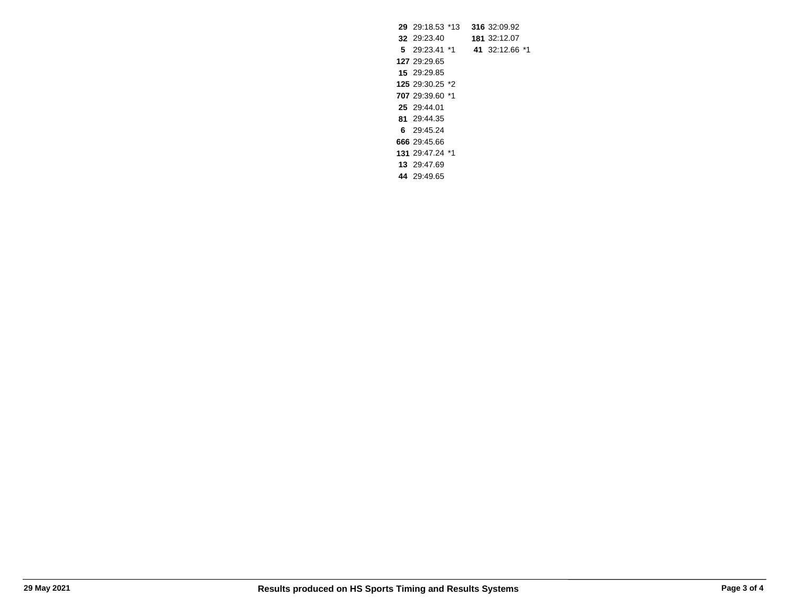29:18.53 \*13 **316** 32:09.92 29:23.40 **181** 32:12.07 **5** 29:23.41 \*1 **41** 32:12.66 \*1 29:29.65 29:29.85 29:30.25 \*2 29:39.60 \*1 29:44.01 29:44.35 **6** 29:45.24 29:45.66 29:47.24 \*1 29:47.69 29:49.65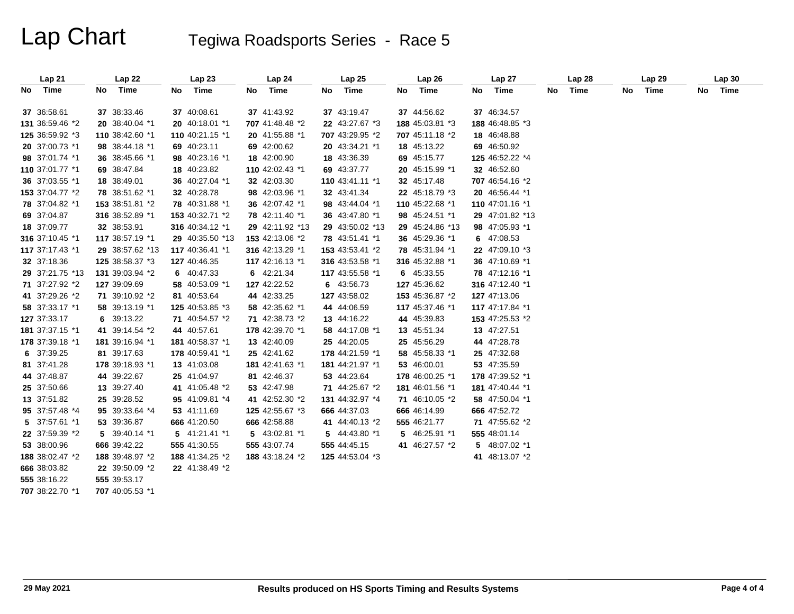# Lap Chart Tegiwa Roadsports Series - Race 5

| Lap <sub>21</sub> |      | Lap 22          | Lap23           |    | Lap 24          | Lap <sub>25</sub> | Lap 26          | Lap27           |    | Lap <sub>28</sub> |    | Lap <sub>29</sub> | Lap30   |
|-------------------|------|-----------------|-----------------|----|-----------------|-------------------|-----------------|-----------------|----|-------------------|----|-------------------|---------|
| No Time           | No l | Time            | No Time         | No | Time            | No Time           | No Time         | No Time         | No | Time              | No | Time              | No Time |
|                   |      |                 |                 |    |                 |                   |                 |                 |    |                   |    |                   |         |
| 37 36:58.61       |      | 37 38:33.46     | 37 40:08.61     |    | 37 41:43.92     | 37 43:19.47       | 37 44:56.62     | 37 46:34.57     |    |                   |    |                   |         |
| 131 36:59.46 *2   |      | 20 38:40.04 *1  | 20 40:18.01 *1  |    | 707 41:48.48 *2 | 22 43:27.67 *3    | 188 45:03.81 *3 | 188 46:48.85 *3 |    |                   |    |                   |         |
| 125 36:59.92 *3   |      | 110 38:42.60 *1 | 110 40:21.15 *1 |    | 20 41:55.88 *1  | 707 43:29.95 *2   | 707 45:11.18 *2 | 18 46:48.88     |    |                   |    |                   |         |
| 20 37:00.73 *1    |      | 98 38:44.18 *1  | 69 40:23.11     |    | 69 42:00.62     | 20 43:34.21 *1    | 18 45:13.22     | 69 46:50.92     |    |                   |    |                   |         |
| 98 37:01.74 *1    |      | 36 38:45.66 *1  | 98 40:23.16 *1  |    | 18 42:00.90     | 18 43:36.39       | 69 45:15.77     | 125 46:52.22 *4 |    |                   |    |                   |         |
| 110 37:01.77 *1   |      | 69 38:47.84     | 18 40:23.82     |    | 110 42:02.43 *1 | 69 43:37.77       | 20 45:15.99 *1  | 32 46:52.60     |    |                   |    |                   |         |
| 36 37:03.55 *1    |      | 18 38:49.01     | 36 40:27.04 *1  |    | 32 42:03.30     | 110 43:41.11 *1   | 32 45:17.48     | 707 46:54.16 *2 |    |                   |    |                   |         |
| 153 37:04.77 *2   |      | 78 38:51.62 *1  | 32 40:28.78     |    | 98 42:03.96 *1  | 32 43:41.34       | 22 45:18.79 *3  | 20 46:56.44 *1  |    |                   |    |                   |         |
| 78 37:04.82 *1    |      | 153 38:51.81 *2 | 78 40:31.88 *1  |    | 36 42:07.42 *1  | 98 43:44.04 *1    | 110 45:22.68 *1 | 110 47:01.16 *1 |    |                   |    |                   |         |
| 69 37:04.87       |      | 316 38:52.89 *1 | 153 40:32.71 *2 |    | 78 42:11.40 *1  | 36 43:47.80 *1    | 98 45:24.51 *1  | 29 47:01.82 *13 |    |                   |    |                   |         |
| 18 37:09.77       |      | 32 38:53.91     | 316 40:34.12 *1 |    | 29 42:11.92 *13 | 29 43:50.02 *13   | 29 45:24.86 *13 | 98 47:05.93 *1  |    |                   |    |                   |         |
| 316 37:10.45 *1   |      | 117 38:57.19 *1 | 29 40:35.50 *13 |    | 153 42:13.06 *2 | 78 43:51.41 *1    | 36 45:29.36 *1  | 6 47:08.53      |    |                   |    |                   |         |
| 117 37:17.43 *1   |      | 29 38:57.62 *13 | 117 40:36.41 *1 |    | 316 42:13.29 *1 | 153 43:53.41 *2   | 78 45:31.94 *1  | 22 47:09.10 *3  |    |                   |    |                   |         |
| 32 37:18.36       |      | 125 38:58.37 *3 | 127 40:46.35    |    | 117 42:16.13 *1 | 316 43:53.58 *1   | 316 45:32.88 *1 | 36 47:10.69 *1  |    |                   |    |                   |         |
| 29 37:21.75 *13   |      | 131 39:03.94 *2 | 6 40:47.33      |    | 6 42:21.34      | 117 43:55.58 *1   | 6 45:33.55      | 78 47:12.16 *1  |    |                   |    |                   |         |
| 71 37:27.92 *2    |      | 127 39:09.69    | 58 40:53.09 *1  |    | 127 42:22.52    | 6 43:56.73        | 127 45:36.62    | 316 47:12.40 *1 |    |                   |    |                   |         |
| 41 37:29.26 *2    |      | 71 39:10.92 *2  | 81 40:53.64     |    | 44 42:33.25     | 127 43:58.02      | 153 45:36.87 *2 | 127 47:13.06    |    |                   |    |                   |         |
| 58 37:33.17 *1    |      | 58 39:13.19 *1  | 125 40:53.85 *3 |    | 58 42:35.62 *1  | 44 44:06.59       | 117 45:37.46 *1 | 117 47:17.84 *1 |    |                   |    |                   |         |
| 127 37:33.17      |      | 6 39:13.22      | 71 40:54.57 *2  |    | 71 42:38.73 *2  | 13 44:16.22       | 44 45:39.83     | 153 47:25.53 *2 |    |                   |    |                   |         |
| 181 37:37.15 *1   |      | 41 39:14.54 *2  | 44 40:57.61     |    | 178 42:39.70 *1 | 58 44:17.08 *1    | 13 45:51.34     | 13 47:27.51     |    |                   |    |                   |         |
| 178 37:39.18 *1   |      | 181 39:16.94 *1 | 181 40:58.37 *1 |    | 13 42:40.09     | 25 44:20.05       | 25 45:56.29     | 44 47:28.78     |    |                   |    |                   |         |
| 6 37:39.25        |      | 81 39:17.63     | 178 40:59.41 *1 |    | 25 42:41.62     | 178 44:21.59 *1   | 58 45:58.33 *1  | 25 47:32.68     |    |                   |    |                   |         |
| 81 37:41.28       |      | 178 39:18.93 *1 | 13 41:03.08     |    | 181 42:41.63 *1 | 181 44:21.97 *1   | 53 46:00.01     | 53 47:35.59     |    |                   |    |                   |         |
| 44 37:48.87       |      | 44 39:22.67     | 25 41:04.97     |    | 81 42:46.37     | 53 44:23.64       | 178 46:00.25 *1 | 178 47:39.52 *1 |    |                   |    |                   |         |
| 25 37:50.66       |      | 13 39:27.40     | 41 41:05.48 *2  |    | 53 42:47.98     | 71 44:25.67 *2    | 181 46:01.56 *1 | 181 47:40.44 *1 |    |                   |    |                   |         |
| 13 37:51.82       |      | 25 39:28.52     | 95 41:09.81 *4  |    | 41 42:52.30 *2  | 131 44:32.97 *4   | 71 46:10.05 *2  | 58 47:50.04 *1  |    |                   |    |                   |         |
| 95 37:57.48 *4    |      | 95 39:33.64 *4  | 53 41:11.69     |    | 125 42:55.67 *3 | 666 44:37.03      | 666 46:14.99    | 666 47:52.72    |    |                   |    |                   |         |
| 5 37:57.61 *1     |      | 53 39:36.87     | 666 41:20.50    |    | 666 42:58.88    | 41 44:40.13 *2    | 555 46:21.77    | 71 47:55.62 *2  |    |                   |    |                   |         |
| 22 37:59.39 *2    |      | 5 39:40.14 *1   | 5 41:21.41 *1   |    | 5 43:02.81 *1   | 5 44:43.80 *1     | 5 46:25.91 *1   | 555 48:01.14    |    |                   |    |                   |         |
| 53 38:00.96       |      | 666 39:42.22    | 555 41:30.55    |    | 555 43:07.74    | 555 44:45.15      | 41 46:27.57 *2  | 5 48:07.02 *1   |    |                   |    |                   |         |
| 188 38:02.47 *2   |      | 188 39:48.97 *2 | 188 41:34.25 *2 |    | 188 43:18.24 *2 | 125 44:53.04 *3   |                 | 41 48:13.07 *2  |    |                   |    |                   |         |
| 666 38:03.82      |      | 22 39:50.09 *2  | 22 41:38.49 *2  |    |                 |                   |                 |                 |    |                   |    |                   |         |
| 555 38:16.22      |      | 555 39:53.17    |                 |    |                 |                   |                 |                 |    |                   |    |                   |         |
|                   |      |                 |                 |    |                 |                   |                 |                 |    |                   |    |                   |         |

**707**38:22.70 \*1 **707** 40:05.53 \*1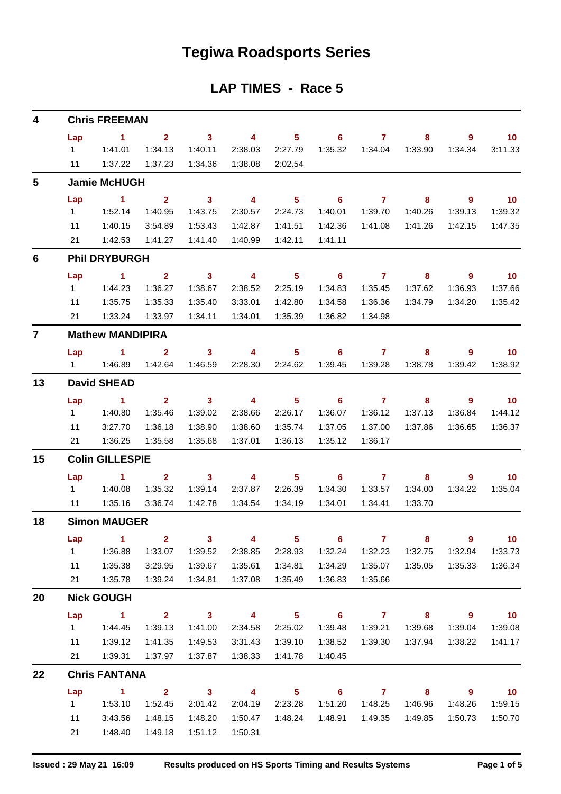## **Tegiwa Roadsports Series**

## **LAP TIMES - Race 5**

| 4            |                         | <b>Chris FREEMAN</b>   |                         |                            |                          |                            |                            |                  |                            |                            |                             |  |  |  |  |
|--------------|-------------------------|------------------------|-------------------------|----------------------------|--------------------------|----------------------------|----------------------------|------------------|----------------------------|----------------------------|-----------------------------|--|--|--|--|
|              | Lap                     | $\sim$ 1               | $\overline{2}$          | 3 <sup>7</sup>             | $\overline{\mathbf{4}}$  | $\overline{\phantom{0}}$ 5 | $\overline{\phantom{0}}$ 6 | $\overline{7}$   | 8                          | $\overline{9}$             | 10                          |  |  |  |  |
|              | $1 \quad$               | 1:41.01                | 1:34.13                 | 1:40.11                    | 2:38.03                  | 2:27.79                    | 1:35.32                    | 1:34.04          | 1:33.90                    | 1:34.34                    | 3:11.33                     |  |  |  |  |
|              | 11                      | 1:37.22                | 1:37.23                 | 1:34.36                    | 1:38.08                  | 2:02.54                    |                            |                  |                            |                            |                             |  |  |  |  |
| 5            |                         | <b>Jamie McHUGH</b>    |                         |                            |                          |                            |                            |                  |                            |                            |                             |  |  |  |  |
|              | Lap                     | $\sim$ 1               | 2 <sup>1</sup>          | $\overline{\phantom{a}}$ 3 | $\overline{\phantom{a}}$ | 5 <sub>5</sub>             | $\overline{\phantom{0}}$ 6 | $\mathbf{7}$     | 8                          | $\overline{9}$             | 10                          |  |  |  |  |
|              | $1 -$                   | 1:52.14                | 1:40.95                 | 1:43.75                    | 2:30.57                  | 2:24.73                    | 1:40.01                    | 1:39.70          | 1:40.26                    | 1:39.13                    | 1:39.32                     |  |  |  |  |
|              | 11                      | 1:40.15                | 3:54.89                 | 1:53.43                    | 1:42.87                  | 1:41.51                    | 1:42.36                    | 1:41.08          | 1:41.26                    | 1:42.15                    | 1:47.35                     |  |  |  |  |
|              | 21                      | 1:42.53                | 1:41.27                 | 1:41.40                    | 1:40.99                  | 1:42.11                    | 1:41.11                    |                  |                            |                            |                             |  |  |  |  |
| 6            | <b>Phil DRYBURGH</b>    |                        |                         |                            |                          |                            |                            |                  |                            |                            |                             |  |  |  |  |
|              | Lap                     | $\sim$ 1               | $\mathbf{2}$            | $\mathbf{3}$               | $\overline{4}$           | $5\phantom{1}$             | 6                          | $\mathbf{7}$     | 8                          | 9                          | 10                          |  |  |  |  |
|              | $1 \quad$               | 1:44.23                | 1:36.27                 | 1:38.67                    | 2:38.52                  | 2:25.19                    | 1:34.83                    | 1:35.45          | 1:37.62                    | 1:36.93                    | 1:37.66                     |  |  |  |  |
|              | 11                      | 1:35.75                | 1:35.33                 | 1:35.40                    | 3:33.01                  | 1:42.80                    | 1:34.58                    | 1:36.36          | 1:34.79                    | 1:34.20                    | 1:35.42                     |  |  |  |  |
|              | 21                      | 1:33.24                | 1:33.97                 | 1:34.11                    | 1:34.01                  | 1:35.39                    | 1:36.82                    | 1:34.98          |                            |                            |                             |  |  |  |  |
| $\mathbf{7}$ | <b>Mathew MANDIPIRA</b> |                        |                         |                            |                          |                            |                            |                  |                            |                            |                             |  |  |  |  |
|              | Lap                     | $\sim$ 1               | $\mathbf{2}$            | $\mathbf{3}$               | $\overline{4}$           | $5\phantom{.0}$            | 6                          | $\overline{7}$   | 8                          | $\overline{9}$             | 10                          |  |  |  |  |
|              | $1 \quad$               | 1:46.89                | 1:42.64                 | 1:46.59                    | 2:28.30                  | 2:24.62                    | 1:39.45                    | 1:39.28          | 1:38.78                    | 1:39.42                    | 1:38.92                     |  |  |  |  |
| 13           |                         | <b>David SHEAD</b>     |                         |                            |                          |                            |                            |                  |                            |                            |                             |  |  |  |  |
|              | Lap                     | 1                      | $\overline{2}$          | $\mathbf{3}$               | -4                       | $5\phantom{.0}$            | 6                          | $\overline{7}$   | 8                          | 9                          | $\overline{10}$             |  |  |  |  |
|              | $1 \quad$               | 1:40.80                | 1:35.46                 | 1:39.02                    | 2:38.66                  | 2:26.17                    | 1:36.07                    | 1:36.12          | 1:37.13                    | 1:36.84                    | 1:44.12                     |  |  |  |  |
|              | 11                      | 3:27.70                | 1:36.18                 | 1:38.90                    | 1:38.60                  | 1:35.74                    | 1:37.05                    | 1:37.00          | 1:37.86                    | 1:36.65                    | 1:36.37                     |  |  |  |  |
|              | 21                      | 1:36.25                | 1:35.58                 | 1:35.68                    | 1:37.01                  | 1:36.13                    | 1:35.12                    | 1:36.17          |                            |                            |                             |  |  |  |  |
| 15           |                         | <b>Colin GILLESPIE</b> |                         |                            |                          |                            |                            |                  |                            |                            |                             |  |  |  |  |
|              | Lap                     | $\sim$ 1               | $\overline{2}$          | $\mathbf{3}$               | $\overline{4}$           | 5 <sub>5</sub>             | $\overline{\phantom{0}}$ 6 | $\mathbf{7}$     | 8                          | 9                          | 10                          |  |  |  |  |
|              | $1 \quad$               | 1:40.08                | 1:35.32                 | 1:39.14                    | 2:37.87                  | 2:26.39                    | 1:34.30                    | 1:33.57          | 1:34.00                    | 1:34.22                    | 1:35.04                     |  |  |  |  |
|              | 11                      | 1:35.16                | 3:36.74                 | 1:42.78                    | 1:34.54                  | 1:34.19                    | 1:34.01                    | 1:34.41          | 1:33.70                    |                            |                             |  |  |  |  |
| 18           |                         | <b>Simon MAUGER</b>    |                         |                            |                          |                            |                            |                  |                            |                            |                             |  |  |  |  |
|              | Lap                     | $\sim$ 1               | $\overline{\mathbf{2}}$ | $\overline{\mathbf{3}}$    | $\overline{\mathbf{4}}$  | $\overline{\phantom{0}}$ 5 | $\overline{\phantom{0}}$ 6 | $\overline{7}$   | $\overline{\phantom{a}}$ 8 | $\overline{\phantom{a}}$   | $\overline{\phantom{0}}$ 10 |  |  |  |  |
|              | 1                       | 1:36.88                | 1:33.07                 | 1:39.52                    | 2:38.85                  | 2:28.93                    | 1:32.24                    | 1:32.23          | 1:32.75                    | 1:32.94                    | 1:33.73                     |  |  |  |  |
|              | 11                      | 1:35.38                | 3:29.95                 | 1:39.67                    | 1:35.61                  | 1:34.81                    | 1:34.29                    | 1:35.07          | 1:35.05                    | 1:35.33                    | 1:36.34                     |  |  |  |  |
|              | 21                      | 1:35.78                | 1:39.24                 | 1:34.81                    | 1:37.08                  | 1:35.49                    | 1:36.83                    | 1:35.66          |                            |                            |                             |  |  |  |  |
| 20           |                         | <b>Nick GOUGH</b>      |                         |                            |                          |                            |                            |                  |                            |                            |                             |  |  |  |  |
|              | Lap                     | $\sim$ 1.              | $\overline{\mathbf{2}}$ | $\overline{\mathbf{3}}$    | $\overline{\mathbf{A}}$  | $\overline{\phantom{0}}$ 5 |                            | $6 \overline{7}$ | $\overline{\phantom{a}}$ 8 | $\overline{\phantom{a}}$ 9 | $\overline{10}$             |  |  |  |  |
|              | $1 \quad \blacksquare$  | 1:44.45                | 1:39.13                 | 1:41.00                    | 2:34.58                  | 2:25.02                    | 1:39.48                    | 1:39.21          | 1:39.68                    | 1:39.04                    | 1:39.08                     |  |  |  |  |
|              | 11                      | 1:39.12                | 1:41.35                 | 1:49.53                    | 3:31.43                  | 1:39.10                    | 1:38.52                    | 1:39.30          | 1:37.94                    | 1:38.22                    | 1:41.17                     |  |  |  |  |
|              | 21                      | 1:39.31                | 1:37.97                 | 1:37.87                    | 1:38.33                  | 1:41.78                    | 1:40.45                    |                  |                            |                            |                             |  |  |  |  |
| 22           |                         | <b>Chris FANTANA</b>   |                         |                            |                          |                            |                            |                  |                            |                            |                             |  |  |  |  |
|              | Lap                     | $\sim$ 1               | $\overline{\mathbf{2}}$ | $\overline{\mathbf{3}}$    | $\overline{\mathbf{4}}$  | $\overline{\phantom{0}}$ 5 | $\overline{\phantom{a}}$ 6 | $\overline{7}$   | $\overline{\mathbf{8}}$    | $\overline{\phantom{a}}$   | $\overline{10}$             |  |  |  |  |
|              | $1 \quad$               | 1:53.10                | 1:52.45                 | 2:01.42                    | 2:04.19                  | 2:23.28                    | 1:51.20                    | 1:48.25          | 1:46.96                    | 1:48.26                    | 1:59.15                     |  |  |  |  |
|              | 11                      | 3:43.56                | 1:48.15                 | 1:48.20                    | 1:50.47                  | 1:48.24                    | 1:48.91                    | 1:49.35          | 1:49.85                    | 1:50.73                    | 1:50.70                     |  |  |  |  |
|              | 21                      | 1:48.40                | 1:49.18                 | 1:51.12                    | 1:50.31                  |                            |                            |                  |                            |                            |                             |  |  |  |  |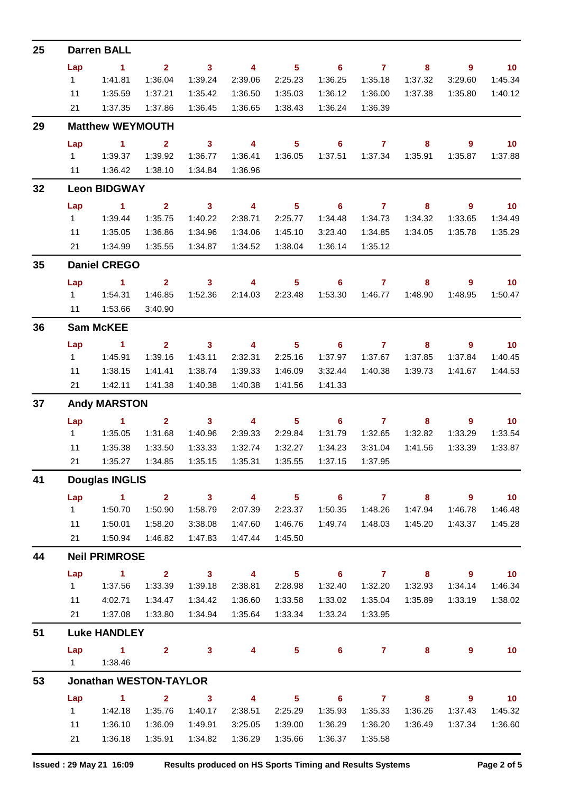| 25 |                  | <b>Darren BALL</b>            |                         |                            |                          |                            |                            |                |                         |                          |                   |
|----|------------------|-------------------------------|-------------------------|----------------------------|--------------------------|----------------------------|----------------------------|----------------|-------------------------|--------------------------|-------------------|
|    | Lap              | $\blacktriangleleft$          | 2 <sup>1</sup>          | $\overline{\mathbf{3}}$    | $\overline{\mathbf{4}}$  | 5 <sup>5</sup>             | $\overline{\phantom{0}}$ 6 | $\overline{7}$ | 8                       | 9                        | $\overline{10}$   |
|    | 1                | 1:41.81                       | 1:36.04                 | 1:39.24                    | 2:39.06                  | 2:25.23                    | 1:36.25                    | 1:35.18        | 1:37.32                 | 3:29.60                  | 1:45.34           |
|    | 11               | 1:35.59                       | 1:37.21                 | 1:35.42                    | 1:36.50                  | 1:35.03                    | 1:36.12                    | 1:36.00        | 1:37.38                 | 1:35.80                  | 1:40.12           |
|    | 21               | 1:37.35                       | 1:37.86                 | 1:36.45                    | 1:36.65                  | 1:38.43                    | 1:36.24                    | 1:36.39        |                         |                          |                   |
| 29 |                  | <b>Matthew WEYMOUTH</b>       |                         |                            |                          |                            |                            |                |                         |                          |                   |
|    | Lap              | $\sim$ 1                      | $\mathbf{2}$            | $\overline{\mathbf{3}}$    | $\overline{\mathbf{4}}$  | 5 <sup>5</sup>             | $6\phantom{1}$             | $\overline{7}$ | 8                       | 9                        | 10                |
|    | 1                | 1:39.37                       | 1:39.92                 | 1:36.77                    | 1:36.41                  | 1:36.05                    | 1:37.51                    | 1:37.34        | 1:35.91                 | 1:35.87                  | 1:37.88           |
|    | 11               | 1:36.42                       | 1:38.10                 | 1:34.84                    | 1:36.96                  |                            |                            |                |                         |                          |                   |
| 32 |                  | <b>Leon BIDGWAY</b>           |                         |                            |                          |                            |                            |                |                         |                          |                   |
|    | Lap              | $\sim$ 1                      | $\mathbf{2}$            | $\overline{\mathbf{3}}$    | $\overline{\phantom{a}}$ | 5 <sub>5</sub>             | $\overline{\phantom{0}}$ 6 | $\overline{7}$ | 8                       | 9                        | 10                |
|    | 1                | 1:39.44                       | 1:35.75                 | 1:40.22                    | 2:38.71                  | 2:25.77                    | 1:34.48                    | 1:34.73        | 1:34.32                 | 1:33.65                  | 1:34.49           |
|    | 11               | 1:35.05                       | 1:36.86                 | 1:34.96                    | 1:34.06                  | 1:45.10                    | 3:23.40                    | 1:34.85        | 1:34.05                 | 1:35.78                  | 1:35.29           |
|    | 21               | 1:34.99                       | 1:35.55                 | 1:34.87                    | 1:34.52                  | 1:38.04                    | 1:36.14                    | 1:35.12        |                         |                          |                   |
| 35 |                  | <b>Daniel CREGO</b>           |                         |                            |                          |                            |                            |                |                         |                          |                   |
|    | Lap              | $\sim$ 1                      | $\mathbf{2}$            | $\overline{\mathbf{3}}$    | 4                        | 5 <sup>5</sup>             | $6\phantom{1}6$            | $\mathbf{7}$   | 8                       | 9                        | $\blacksquare$ 10 |
|    | $1 \quad$        | 1:54.31                       | 1:46.85                 | 1:52.36                    | 2:14.03                  | 2:23.48                    | 1:53.30                    | 1:46.77        | 1:48.90                 | 1:48.95                  | 1:50.47           |
|    | 11               | 1:53.66                       | 3:40.90                 |                            |                          |                            |                            |                |                         |                          |                   |
| 36 |                  | <b>Sam McKEE</b>              |                         |                            |                          |                            |                            |                |                         |                          |                   |
|    | Lap              | 1.                            | $\overline{2}$          | $\mathbf{3}$               | $\overline{\mathbf{4}}$  | 5 <sup>5</sup>             | $6\phantom{1}$             | $\mathbf{7}$   | 8                       | 9                        | 10                |
|    | $1 \quad$        | 1:45.91                       | 1:39.16                 | 1:43.11                    | 2:32.31                  | 2:25.16                    | 1:37.97                    | 1:37.67        | 1:37.85                 | 1:37.84                  | 1:40.45           |
|    | 11               | 1:38.15                       | 1:41.41                 | 1:38.74                    | 1:39.33                  | 1:46.09                    | 3:32.44                    | 1:40.38        | 1:39.73                 | 1:41.67                  | 1:44.53           |
|    | 21               | 1:42.11                       | 1:41.38                 | 1:40.38                    | 1:40.38                  | 1:41.56                    | 1:41.33                    |                |                         |                          |                   |
| 37 |                  | <b>Andy MARSTON</b>           |                         |                            |                          |                            |                            |                |                         |                          |                   |
|    | Lap              | $\blacktriangleleft$          | $\mathbf{2}$            | $\mathbf{3}$               | $\overline{\mathbf{4}}$  | 5 <sub>5</sub>             | 6                          | $\mathbf{7}$   | 8                       | 9                        | $-10$             |
|    | 1                | 1:35.05                       | 1:31.68                 | 1:40.96                    | 2:39.33                  | 2:29.84                    | 1:31.79                    | 1:32.65        | 1:32.82                 | 1:33.29                  | 1:33.54           |
|    | 11               | 1:35.38                       | 1:33.50                 | 1:33.33                    | 1:32.74                  | 1:32.27                    | 1:34.23                    | 3:31.04        | 1:41.56                 | 1:33.39                  | 1:33.87           |
|    | 21               | 1:35.27                       | 1:34.85                 | 1:35.15                    | 1:35.31                  | 1:35.55                    | 1:37.15                    | 1:37.95        |                         |                          |                   |
| 41 |                  | <b>Douglas INGLIS</b>         |                         |                            |                          |                            |                            |                |                         |                          |                   |
|    | Lap              | $\blacktriangleleft$          | $\mathbf{2}$            | $\overline{\mathbf{3}}$    | $\overline{\mathbf{4}}$  | 5 <sup>5</sup>             | 6                          | $\mathbf{7}$   | 8                       | $\overline{9}$           | 10                |
|    | 1                | 1:50.70                       | 1:50.90                 | 1:58.79                    | 2:07.39                  | 2:23.37                    | 1:50.35                    | 1:48.26        | 1:47.94                 | 1:46.78                  | 1:46.48           |
|    | 11               | 1:50.01                       | 1:58.20                 | 3:38.08                    | 1:47.60                  | 1:46.76                    | 1:49.74                    | 1:48.03        | 1:45.20                 | 1:43.37                  | 1:45.28           |
|    | 21               | 1:50.94                       | 1:46.82                 | 1:47.83                    | 1:47.44                  | 1:45.50                    |                            |                |                         |                          |                   |
| 44 |                  | <b>Neil PRIMROSE</b>          |                         |                            |                          |                            |                            |                |                         |                          |                   |
|    | Lap              | $\sim$ 1                      | $\overline{\mathbf{2}}$ | $\overline{\phantom{a}}$ 3 | $\overline{\mathbf{4}}$  | $\overline{\phantom{0}}$ 5 | $\overline{\phantom{0}}$ 6 | $\overline{7}$ | $\overline{\mathbf{8}}$ | $\overline{\phantom{a}}$ | 10                |
|    | $\mathbf 1$      | 1:37.56                       | 1:33.39                 | 1:39.18                    | 2:38.81                  | 2:28.98                    | 1:32.40                    | 1:32.20        | 1:32.93                 | 1:34.14                  | 1:46.34           |
|    | 11               | 4:02.71                       | 1:34.47                 | 1:34.42                    | 1:36.60                  | 1:33.58                    | 1:33.02                    | 1:35.04        | 1:35.89                 | 1:33.19                  | 1:38.02           |
|    | 21               | 1:37.08                       | 1:33.80                 | 1:34.94                    | 1:35.64                  | 1:33.34                    | 1:33.24                    | 1:33.95        |                         |                          |                   |
| 51 |                  | <b>Luke HANDLEY</b>           |                         |                            |                          |                            |                            |                |                         |                          |                   |
|    | Lap<br>$1 \quad$ | $\sim$ 1<br>1:38.46           | $\mathbf{2}$            | 3 <sup>7</sup>             | $\overline{\mathbf{4}}$  | $5^{\circ}$                | $6^{\circ}$                | $\overline{7}$ | 8                       | 9                        | 10                |
| 53 |                  | <b>Jonathan WESTON-TAYLOR</b> |                         |                            |                          |                            |                            |                |                         |                          |                   |
|    | Lap              | $\mathbf{1}$                  | $\overline{2}$          | $\mathbf{3}$               | $\overline{4}$           | 5 <sup>5</sup>             | $\overline{\phantom{0}}$ 6 | $\overline{7}$ | 8                       | 9                        | 10                |
|    | 1                | 1:42.18                       | 1:35.76                 | 1:40.17                    | 2:38.51                  | 2:25.29                    | 1:35.93                    | 1:35.33        | 1:36.26                 | 1:37.43                  | 1:45.32           |
|    | 11               | 1:36.10                       | 1:36.09                 | 1:49.91                    | 3:25.05                  | 1:39.00                    | 1:36.29                    | 1:36.20        | 1:36.49                 | 1:37.34                  | 1:36.60           |
|    | 21               | 1:36.18                       | 1:35.91                 | 1:34.82                    | 1:36.29                  | 1:35.66                    | 1:36.37                    | 1:35.58        |                         |                          |                   |
|    |                  |                               |                         |                            |                          |                            |                            |                |                         |                          |                   |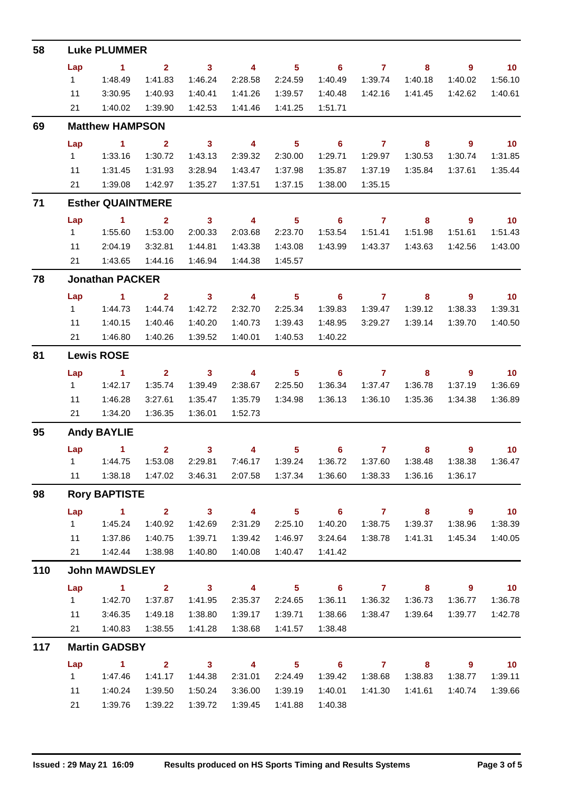| 58  |                   | <b>Luke PLUMMER</b>           |                         |                         |                         |                            |                            |                     |                         |                            |                          |  |  |  |  |
|-----|-------------------|-------------------------------|-------------------------|-------------------------|-------------------------|----------------------------|----------------------------|---------------------|-------------------------|----------------------------|--------------------------|--|--|--|--|
|     | Lap               | $\sim$ 1                      |                         | $2 \t 3$                | $\overline{4}$          | $\sim$ 5 $\sim$            |                            | $6 \qquad \qquad 7$ | 8                       | $\overline{\phantom{a}}$ 9 | $\sim$ 10                |  |  |  |  |
|     | $1 \quad$         | 1:48.49                       | 1:41.83                 | 1:46.24                 | 2:28.58                 | 2:24.59                    | 1:40.49                    | 1:39.74             | 1:40.18                 | 1:40.02                    | 1:56.10                  |  |  |  |  |
|     | 11                | 3:30.95                       | 1:40.93                 | 1:40.41                 | 1:41.26                 | 1:39.57                    | 1:40.48                    | 1:42.16             | 1:41.45                 | 1:42.62                    | 1:40.61                  |  |  |  |  |
|     |                   | 21  1:40.02                   | 1:39.90                 | 1:42.53                 | 1:41.46                 | 1:41.25                    | 1:51.71                    |                     |                         |                            |                          |  |  |  |  |
| 69  |                   | <b>Matthew HAMPSON</b>        |                         |                         |                         |                            |                            |                     |                         |                            |                          |  |  |  |  |
|     | Lap               | $\overline{1}$ $\overline{2}$ |                         |                         | $3 \t 4$                | $\overline{\phantom{0}}$ 5 | $\overline{\phantom{0}}$ 6 | $\overline{7}$      | $\overline{\mathbf{8}}$ | $\overline{\phantom{a}}$ 9 | $\overline{10}$          |  |  |  |  |
|     | $1 \quad$         | 1:33.16                       | 1:30.72                 | 1:43.13                 | 2:39.32                 | 2:30.00                    | 1:29.71                    | 1:29.97             | 1:30.53                 | 1:30.74                    | 1:31.85                  |  |  |  |  |
|     | 11                | 1:31.45                       | 1:31.93                 | 3:28.94                 | 1:43.47                 | 1:37.98                    | 1:35.87                    | 1:37.19             | 1:35.84                 | 1:37.61                    | 1:35.44                  |  |  |  |  |
|     | 21                | 1:39.08                       | 1:42.97                 | 1:35.27                 | 1:37.51                 | 1:37.15                    | 1:38.00                    | 1:35.15             |                         |                            |                          |  |  |  |  |
| 71  |                   | <b>Esther QUAINTMERE</b>      |                         |                         |                         |                            |                            |                     |                         |                            |                          |  |  |  |  |
|     | Lap               | $\sim$ 1                      | $\overline{\mathbf{2}}$ | $\overline{\mathbf{3}}$ | $\overline{4}$          | $\overline{\phantom{0}}$ 5 |                            | $6 \overline{7}$    | 8                       | $\overline{\phantom{a}}$ 9 | $\overline{10}$          |  |  |  |  |
|     | $1 \quad$         | 1:55.60                       | 1:53.00                 | 2:00.33                 | 2:03.68                 | 2:23.70                    | 1:53.54                    | 1:51.41             | 1:51.98                 | 1:51.61                    | 1:51.43                  |  |  |  |  |
|     | 11                | 2:04.19                       | 3:32.81                 | 1:44.81                 | 1:43.38                 | 1:43.08                    | 1:43.99                    | 1:43.37             | 1:43.63                 | 1:42.56                    | 1:43.00                  |  |  |  |  |
|     | 21                | 1:43.65                       | 1:44.16                 | 1:46.94                 | 1:44.38                 | 1:45.57                    |                            |                     |                         |                            |                          |  |  |  |  |
| 78  |                   | <b>Jonathan PACKER</b>        |                         |                         |                         |                            |                            |                     |                         |                            |                          |  |  |  |  |
|     | Lap               | $\sim$ 1 $\sim$ 2             |                         | $\sim$ 3                | $\overline{\mathbf{4}}$ | $\overline{\phantom{0}}$ 5 |                            | $6$ $7$ $8$         |                         | $\overline{\phantom{a}}$ 9 | $\overline{\mathbf{10}}$ |  |  |  |  |
|     | $1 \quad$         | 1:44.73                       | 1:44.74                 | 1:42.72                 | 2:32.70                 | 2:25.34                    | 1:39.83                    | 1:39.47             | 1:39.12                 | 1:38.33                    | 1:39.31                  |  |  |  |  |
|     | 11                | 1:40.15                       | 1:40.46                 | 1:40.20                 | 1:40.73                 | 1:39.43                    | 1:48.95                    | 3:29.27             | 1:39.14                 | 1:39.70                    | 1:40.50                  |  |  |  |  |
|     |                   | 21  1:46.80                   | 1:40.26                 | 1:39.52                 | 1:40.01                 | 1:40.53                    | 1:40.22                    |                     |                         |                            |                          |  |  |  |  |
| 81  | <b>Lewis ROSE</b> |                               |                         |                         |                         |                            |                            |                     |                         |                            |                          |  |  |  |  |
|     | Lap               | $\sim$ 1                      | $\mathbf{2}$            | $\overline{\mathbf{3}}$ | $\overline{\mathbf{4}}$ | $\overline{\phantom{1}}$ 5 |                            | $6$ $7$ $8$         |                         | - 9                        | $\overline{10}$          |  |  |  |  |
|     | $1 \quad$         | 1:42.17                       | 1:35.74                 | 1:39.49                 | 2:38.67                 | 2:25.50                    | 1:36.34                    | 1:37.47             | 1:36.78                 | 1:37.19                    | 1:36.69                  |  |  |  |  |
|     | 11                | 1:46.28                       | 3:27.61                 | 1:35.47                 | 1:35.79                 | 1:34.98                    | 1:36.13                    | 1:36.10             | 1:35.36                 | 1:34.38                    | 1:36.89                  |  |  |  |  |
|     |                   | 21   1:34.20                  | 1:36.35                 | 1:36.01                 | 1:52.73                 |                            |                            |                     |                         |                            |                          |  |  |  |  |
| 95  |                   | <b>Andy BAYLIE</b>            |                         |                         |                         |                            |                            |                     |                         |                            |                          |  |  |  |  |
|     |                   | Lap 1                         |                         |                         | 2 3 4 5 6 7 8 9 10      |                            |                            |                     |                         |                            |                          |  |  |  |  |
|     |                   | 11.44.75                      | 1:53.08                 | 2:29.81                 |                         | 7:46.17  1:39.24           | 1:36.72                    | 1:37.60             | 1:38.48                 | 1:38.38                    | 1:36.47                  |  |  |  |  |
|     | 11                | 1:38.18                       | 1:47.02                 | 3:46.31                 | 2:07.58                 | 1:37.34                    | 1:36.60                    | 1:38.33             | 1:36.16                 | 1:36.17                    |                          |  |  |  |  |
| 98  |                   | <b>Rory BAPTISTE</b>          |                         |                         |                         |                            |                            |                     |                         |                            |                          |  |  |  |  |
|     | Lap               | $\sim$ 1                      | $2^{\circ}$             | $\overline{\mathbf{3}}$ | $\overline{4}$          | 5 <sub>5</sub>             | $\overline{\phantom{a}}$ 6 | $\overline{7}$      | 8                       | $9^{\circ}$                | 10                       |  |  |  |  |
|     | $1 \quad$         | 1:45.24                       | 1:40.92                 | 1:42.69                 | 2:31.29                 | 2:25.10                    | 1:40.20                    | 1:38.75             | 1:39.37                 | 1:38.96                    | 1:38.39                  |  |  |  |  |
|     | 11                | 1:37.86                       | 1:40.75                 | 1:39.71                 | 1:39.42                 | 1:46.97                    | 3:24.64                    | 1:38.78             | 1:41.31                 | 1:45.34                    | 1:40.05                  |  |  |  |  |
|     | 21                | 1:42.44                       | 1:38.98                 | 1:40.80                 | 1:40.08                 | 1:40.47                    | 1:41.42                    |                     |                         |                            |                          |  |  |  |  |
| 110 |                   | <b>John MAWDSLEY</b>          |                         |                         |                         |                            |                            |                     |                         |                            |                          |  |  |  |  |
|     | Lap               | $\mathbf{1}$                  | 2 <sup>1</sup>          | $\overline{\mathbf{3}}$ | $\overline{\mathbf{4}}$ | 5 <sup>1</sup>             | $\overline{\phantom{0}}$ 6 | $\mathbf{7}$        | 8                       | $\overline{9}$             | 10 <sub>1</sub>          |  |  |  |  |
|     | 1                 | 1:42.70                       | 1:37.87                 | 1:41.95                 | 2:35.37                 | 2:24.65                    | 1:36.11                    | 1:36.32             | 1:36.73                 | 1:36.77                    | 1:36.78                  |  |  |  |  |
|     | 11                | 3:46.35                       | 1:49.18                 | 1:38.80                 | 1:39.17                 | 1:39.71                    | 1:38.66                    | 1:38.47             | 1:39.64                 | 1:39.77                    | 1:42.78                  |  |  |  |  |
|     | 21                | 1:40.83                       | 1:38.55                 | 1:41.28                 | 1:38.68                 | 1:41.57                    | 1:38.48                    |                     |                         |                            |                          |  |  |  |  |
| 117 |                   | <b>Martin GADSBY</b>          |                         |                         |                         |                            |                            |                     |                         |                            |                          |  |  |  |  |
|     | Lap               | $\sim$ 1                      | $\overline{2}$          | $\overline{\mathbf{3}}$ | $\overline{4}$          | 5 <sub>5</sub>             | $\overline{\phantom{a}}$ 6 | $\overline{7}$      | $\overline{\mathbf{8}}$ | 9                          | 10                       |  |  |  |  |
|     | 1                 | 1:47.46                       | 1:41.17                 | 1:44.38                 | 2:31.01                 | 2:24.49                    | 1:39.42                    | 1:38.68             | 1:38.83                 | 1:38.77                    | 1:39.11                  |  |  |  |  |
|     | 11                | 1:40.24                       | 1:39.50                 | 1:50.24                 | 3:36.00                 | 1:39.19                    | 1:40.01                    | 1:41.30             | 1:41.61                 | 1:40.74                    | 1:39.66                  |  |  |  |  |
|     | 21                | 1:39.76                       | 1:39.22                 | 1:39.72                 | 1:39.45                 | 1:41.88                    | 1:40.38                    |                     |                         |                            |                          |  |  |  |  |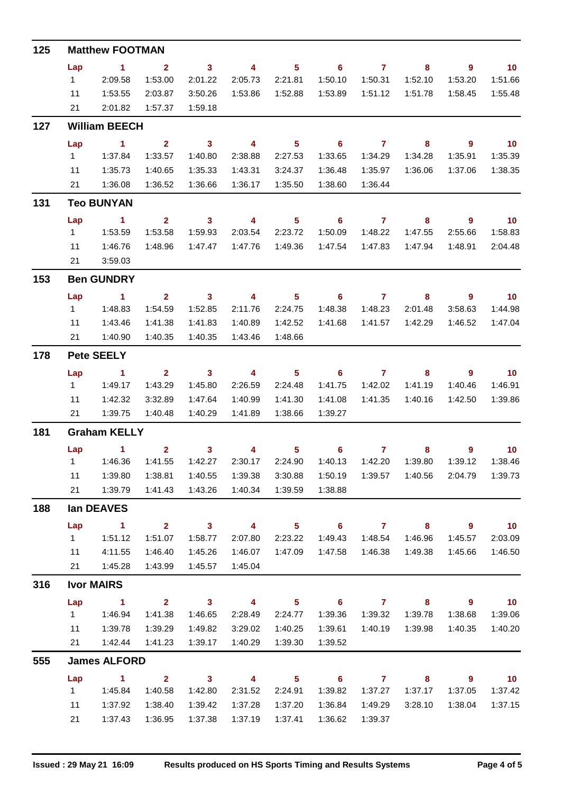| 125 |                  | <b>Matthew FOOTMAN</b> |                                    |                                    |                           |                            |                                       |                           |                                    |                            |                            |
|-----|------------------|------------------------|------------------------------------|------------------------------------|---------------------------|----------------------------|---------------------------------------|---------------------------|------------------------------------|----------------------------|----------------------------|
|     | Lap              | $\sim$ 1               | $\overline{\mathbf{2}}$            | $\overline{\mathbf{3}}$            | $\overline{4}$            | $\overline{\phantom{0}}$ 5 | $\overline{\phantom{0}}$ 6            | $\overline{7}$            | 8                                  | $\overline{\phantom{a}}$ 9 | $\overline{10}$            |
|     | $1 \quad$        | 2:09.58                | 1:53.00                            | 2:01.22                            | 2:05.73                   | 2:21.81                    | 1:50.10                               | 1:50.31                   | 1:52.10                            | 1:53.20                    | 1:51.66                    |
|     | 11               | 1:53.55                | 2:03.87                            | 3:50.26                            |                           | 1:53.86  1:52.88           | 1:53.89                               | 1:51.12                   | 1:51.78                            | 1:58.45                    | 1:55.48                    |
|     | 21               | 2:01.82                | 1:57.37                            | 1:59.18                            |                           |                            |                                       |                           |                                    |                            |                            |
| 127 |                  | <b>William BEECH</b>   |                                    |                                    |                           |                            |                                       |                           |                                    |                            |                            |
|     | Lap              | $\sim$ 1.1             | $\overline{\mathbf{2}}$            | $\overline{\mathbf{3}}$            | $\overline{\mathbf{4}}$   | $\overline{\phantom{0}}$ 5 | $\overline{\phantom{a}}$ 6            | $\overline{7}$            | $\overline{\mathbf{8}}$            | $\overline{\phantom{a}}$   | $\overline{10}$            |
|     | $1 \quad$        | 1:37.84                | 1:33.57                            | 1:40.80                            | 2:38.88                   | 2:27.53                    | 1:33.65                               | 1:34.29                   | 1:34.28                            | 1:35.91                    | 1:35.39                    |
|     | 11               | 1:35.73                | 1:40.65                            | 1:35.33                            | 1:43.31                   | 3:24.37                    | 1:36.48                               | 1:35.97                   | 1:36.06                            | 1:37.06                    | 1:38.35                    |
|     | 21               | 1:36.08                | 1:36.52                            | 1:36.66                            | 1:36.17                   | 1:35.50                    | 1:38.60                               | 1:36.44                   |                                    |                            |                            |
| 131 |                  | <b>Teo BUNYAN</b>      |                                    |                                    |                           |                            |                                       |                           |                                    |                            |                            |
|     | Lap              | $\sim$ 1               | $2^{\circ}$                        | $\sim$ 3                           | $\overline{4}$            | 5 <sub>5</sub>             | $\overline{\phantom{a}}$ 6            | $\overline{7}$            | 8                                  | $9^{\circ}$                | $\overline{10}$            |
|     | $1 \quad$        | 1:53.59                | 1:53.58                            | 1:59.93                            | 2:03.54                   | 2:23.72                    | 1:50.09                               | 1:48.22                   | 1:47.55                            | 2:55.66                    | 1:58.83                    |
|     | 11               | 1:46.76                | 1:48.96                            | 1:47.47                            | 1:47.76                   | 1:49.36                    | 1:47.54                               | 1:47.83                   | 1:47.94                            | 1:48.91                    | 2:04.48                    |
|     | 21               | 3:59.03                |                                    |                                    |                           |                            |                                       |                           |                                    |                            |                            |
| 153 |                  | <b>Ben GUNDRY</b>      |                                    |                                    |                           |                            |                                       |                           |                                    |                            |                            |
|     | Lap              | $\sim$ $\sim$ 1        | $\overline{\mathbf{2}}$            |                                    | $\overline{\mathbf{3}}$ 4 | $\overline{\phantom{1}}$ 5 |                                       | $6 \qquad \qquad 7$       | $\overline{\mathbf{8}}$            | $\overline{\phantom{a}}$ 9 | $\overline{\mathbf{10}}$   |
|     | $1 \quad$        | 1:48.83                | 1:54.59                            | 1:52.85                            | 2:11.76                   | 2:24.75                    | 1:48.38                               | 1:48.23                   | 2:01.48                            | 3:58.63                    | 1:44.98                    |
|     | 11               | 1:43.46                | 1:41.38                            | 1:41.83                            | 1:40.89                   | 1:42.52                    | 1:41.68                               | 1:41.57                   | 1:42.29                            | 1:46.52                    | 1:47.04                    |
|     |                  | 21  1:40.90            | 1:40.35                            | 1:40.35                            | 1:43.46                   | 1:48.66                    |                                       |                           |                                    |                            |                            |
| 178 |                  | <b>Pete SEELY</b>      |                                    |                                    |                           |                            |                                       |                           |                                    |                            |                            |
|     | Lap              | $\sim$ 1               | $\mathbf{2}$                       | $\overline{\mathbf{3}}$            | $\overline{\mathbf{4}}$   | $\overline{\phantom{0}}$ 5 |                                       | $6\qquad 7$               | 8                                  | $\overline{\phantom{a}}$   | $\overline{\mathbf{10}}$   |
|     | $1 \quad$        | 1:49.17                | 1:43.29                            | 1:45.80                            | 2:26.59                   | 2:24.48                    | 1:41.75                               | 1:42.02                   | 1:41.19                            | 1:40.46                    | 1:46.91                    |
|     | 11               | 1:42.32                | 3:32.89                            | 1:47.64                            | 1:40.99                   | 1:41.30                    | 1:41.08                               | 1:41.35                   | 1:40.16                            | 1:42.50                    | 1:39.86                    |
|     |                  | 21  1:39.75            | 1:40.48                            | 1:40.29                            | 1:41.89                   | 1:38.66                    | 1:39.27                               |                           |                                    |                            |                            |
| 181 |                  | <b>Graham KELLY</b>    |                                    |                                    |                           |                            |                                       |                           |                                    |                            |                            |
|     |                  | Lap $1$ 2              |                                    |                                    |                           |                            |                                       |                           |                                    | 3 4 5 6 7 8 9 10           |                            |
|     |                  |                        | 1:41.55                            | 1:42.27                            | 2:30.17                   | 2:24.90                    |                                       | 1:40.13  1:42.20          | 1:39.80                            | 1:39.12                    | 1:38.46                    |
|     | 11<br>21         | 1:39.80<br>1:39.79     | 1:38.81<br>1:41.43                 | 1:40.55<br>1:43.26                 | 1:39.38<br>1:40.34        | 3:30.88<br>1:39.59         | 1:50.19<br>1:38.88                    |                           |                                    | 2:04.79                    | 1:39.73                    |
|     |                  |                        |                                    |                                    |                           |                            |                                       |                           |                                    |                            |                            |
| 188 |                  | lan DEAVES             |                                    |                                    |                           |                            |                                       |                           |                                    |                            |                            |
|     | Lap              | $\sim$ 1               | 2 <sup>7</sup>                     | $\sim$ 3                           | $\overline{4}$            | 5 <sub>5</sub>             | $\overline{\phantom{a}}$ 6            | $\overline{7}$            | 8                                  | $\overline{\phantom{a}}$ 9 | $\overline{\mathbf{10}}$   |
|     | 1                | 1:51.12                | 1:51.07                            | 1:58.77                            | 2:07.80                   | 2:23.22                    | 1:49.43                               | 1:48.54                   | 1:46.96                            | 1:45.57                    | 2:03.09                    |
|     | 11               | 4:11.55                | 1:46.40                            | 1:45.26                            | 1:46.07                   | 1:47.09                    | 1:47.58                               | 1:46.38                   | 1:49.38                            | 1:45.66                    | 1:46.50                    |
|     | 21               | 1:45.28                | 1:43.99                            | 1:45.57                            | 1:45.04                   |                            |                                       |                           |                                    |                            |                            |
| 316 |                  | <b>Ivor MAIRS</b>      |                                    |                                    |                           |                            |                                       |                           |                                    |                            |                            |
|     | Lap<br>$1 \quad$ | $\sim$ 1<br>1:46.94    | $\overline{\mathbf{2}}$<br>1:41.38 | $\overline{\mathbf{3}}$<br>1:46.65 | $\sim$ 4<br>2:28.49       | 5 <sub>1</sub><br>2:24.77  | $\overline{\phantom{0}}$ 6<br>1:39.36 | $\overline{7}$<br>1:39.32 | $\overline{\mathbf{8}}$<br>1:39.78 | 9<br>1:38.68               | $\overline{10}$<br>1:39.06 |
|     | 11               | 1:39.78                | 1:39.29                            | 1:49.82                            | 3:29.02                   | 1:40.25                    | 1:39.61                               | 1:40.19                   | 1:39.98                            | 1:40.35                    | 1:40.20                    |
|     | 21               | 1:42.44                | 1:41.23                            | 1:39.17                            | 1:40.29                   | 1:39.30                    | 1:39.52                               |                           |                                    |                            |                            |
| 555 |                  | <b>James ALFORD</b>    |                                    |                                    |                           |                            |                                       |                           |                                    |                            |                            |
|     | Lap              | $\blacktriangleleft$   | $2^{\circ}$                        | $\overline{\mathbf{3}}$            | $\overline{\mathbf{4}}$   | 5 <sub>5</sub>             | $\overline{\phantom{0}}$ 6            | $\mathbf{7}$              | 8                                  | 9                          | 10                         |
|     | $1 \quad$        | 1:45.84                | 1:40.58                            | 1:42.80                            | 2:31.52                   | 2:24.91                    | 1:39.82                               | 1:37.27                   | 1:37.17                            | 1:37.05                    | 1:37.42                    |
|     | 11               | 1:37.92                | 1:38.40                            | 1:39.42                            | 1:37.28                   | 1:37.20                    | 1:36.84                               | 1:49.29                   | 3:28.10                            | 1:38.04                    | 1:37.15                    |
|     | 21               | 1:37.43                | 1:36.95                            | 1:37.38                            | 1:37.19                   | 1:37.41                    | 1:36.62                               | 1:39.37                   |                                    |                            |                            |